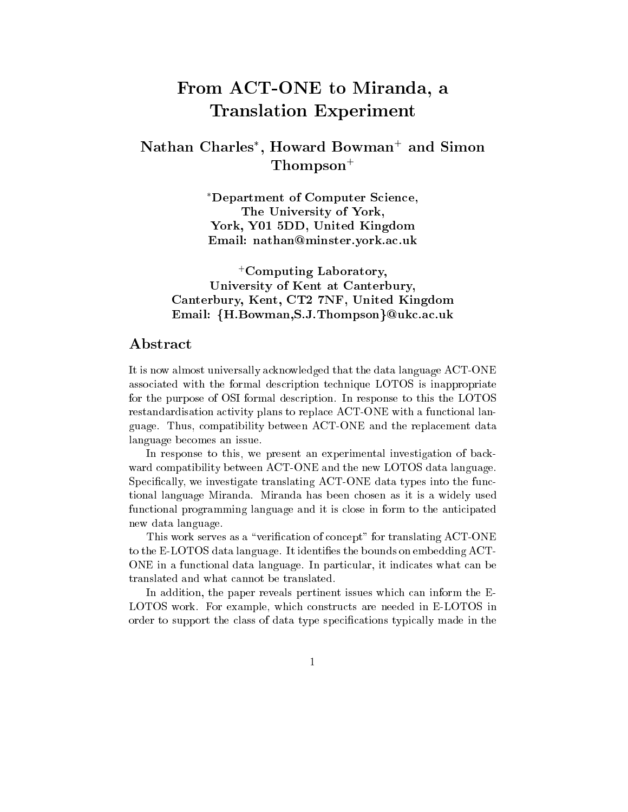# From ACT-ONE to Miranda, <sup>a</sup> Translation Experiment

# Nathan Charles , Howard Bowman+ and Simon Thompson<sup>+</sup>

Department of Computer Science, The University of York, York, Y01 5DD, United Kingdom Email: nathan@minster.york.ac.uk

+Computing Laboratory, University of Kent at Canterbury, Canterbury, Kent, CT2 7NF, United Kingdom Email: {H.Bowman, S.J.Thompson}@ukc.ac.uk

# Abstract

It is now almost universally acknowledged that the data language ACT-ONE associated with the formal description technique LOTOS is inappropriate for the purpose of OSI formal description. In response to this the LOTOS restandardisation activity plans to replace ACT-ONE with a functional language. Thus, compatibility between ACT-ONE and the replacement data language becomes an issue.

In response to this, we present an experimental investigation of backward compatibility between ACT-ONE and the new LOTOS data language. Specifically, we investigate translating  $\text{ACT-ONE}$  data types into the functional language Miranda. Miranda has been chosen as it is a widely used functional programming language and it is close in form to the anticipated new data language.

This work serves as a "verification of concept" for translating ACT-ONE to the E-LOTOS data language. It identifies the bounds on embedding ACT-ONE in a functional data language. In particular, it indicates what can be translated and what cannot be translated.

In addition, the paper reveals pertinent issues which can inform the E-LOTOS work. For example, which constructs are needed in E-LOTOS in order to support the class of data type specications typically made in the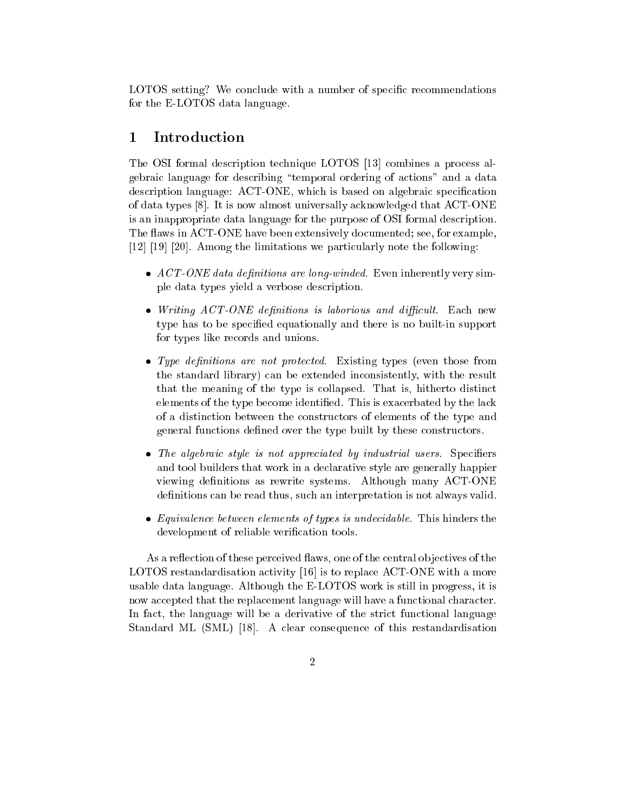LOTOS setting? We conclude with a number of specic recommendations for the E-LOTOS data language.

# 1 Introduction

The OSI formal description technique LOTOS [13] combines a process algebraic language for describing \temporal ordering of actions" and a data description language: ACT-ONE, which is based on algebraic specication of data types [8]. It is now almost universally acknowledged that ACT-ONE is an inappropriate data language for the purpose of OSI formal description. The flaws in ACT-ONE have been extensively documented; see, for example, [12] [19] [20]. Among the limitations we particularly note the following:

- $ACT\text{-}ONE\ data\ definitions\ are\ long-winded.$  Even inherently very simple data types yield a verbose description.
- $\bullet$  Writing ACT-ONE definitions is laborious and difficult. Each new type has to be specied equationally and there is no built-in support for types like records and unions.
- Type definitions are not protected. Existing types (even those from the standard library) can be extended inconsistently, with the result that the meaning of the type is collapsed. That is, hitherto distinct elements of the type become identied. This is exacerbated by the lack of a distinction between the constructors of elements of the type and general functions defined over the type built by these constructors.
- The algebraic style is not appreciated by industrial users. Specifiers and tool builders that work in a declarative style are generally happier viewing definitions as rewrite systems. Although many ACT-ONE definitions can be read thus, such an interpretation is not always valid.
- Equivalence between elements of types is undecidable. This hinders the development of reliable verification tools.

As a reflection of these perceived flaws, one of the central objectives of the LOTOS restandardisation activity [16] is to replace ACT-ONE with a more usable data language. Although the E-LOTOS work is still in progress, it is now accepted that the replacement language will have a functional character. In fact, the language will be a derivative of the strict functional language Standard ML (SML) [18]. A clear consequence of this restandardisation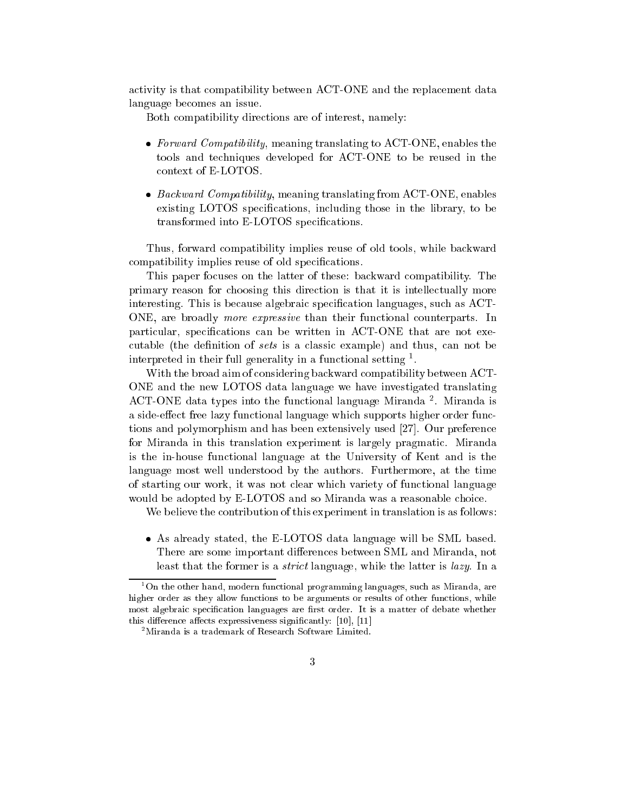activity is that compatibility between ACT-ONE and the replacement data language becomes an issue.

Both compatibility directions are of interest, namely:

- Forward Compatibility, meaning translating to ACT-ONE, enables the tools and techniques developed for ACT-ONE to be reused in the context of E-LOTOS.
- $\bullet$  *Backward Compatibility*, meaning translating from ACT-ONE, enables existing LOTOS specications, including those in the library, to be transformed into E-LOTOS specications.

Thus, forward compatibility implies reuse of old tools, while backward compatibility implies reuse of old specifications.

This paper focuses on the latter of these: backward compatibility. The primary reason for choosing this direction is that it is intellectually more interesting. This is because algebraic specification languages, such as ACT-ONE, are broadly more expressive than their functional counterparts. In particular, specifications can be written in ACT-ONE that are not executable (the definition of sets is a classic example) and thus, can not be interpreted in their full generality in a functional setting  $\,$  .

With the broad aim of considering backward compatibility between ACT-ONE and the new LOTOS data language we have investigated translating ACT-ONE data types into the functional language Miranda <sup>2</sup> . Miranda is a side-effect free lazy functional language which supports higher order functions and polymorphism and has been extensively used [27]. Our preference for Miranda in this translation experiment is largely pragmatic. Miranda is the in-house functional language at the University of Kent and is the language most well understood by the authors. Furthermore, at the time of starting our work, it was not clear which variety of functional language would be adopted by E-LOTOS and so Miranda was a reasonable choice.

We believe the contribution of this experiment in translation is as follows:

 As already stated, the E-LOTOS data language will be SML based. There are some important differences between SML and Miranda, not least that the former is a strict language, while the latter is lazy. In a

<sup>1</sup> On the other hand, modern functional programming languages, such as Miranda, are higher order as they allow functions to be arguments or results of other functions, while most algebraic specification languages are first order. It is a matter of debate whether this difference affects expressiveness significantly:  $[10]$ ,  $[11]$ 

<sup>2</sup>Miranda is a trademark of Research Software Limited.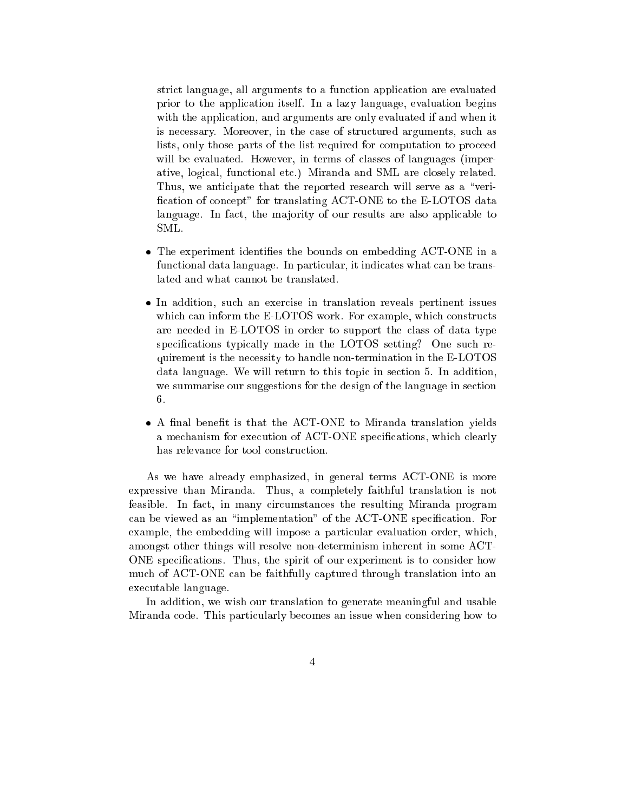strict language, all arguments to a function application are evaluated prior to the application itself. In a lazy language, evaluation begins with the application, and arguments are only evaluated if and when it is necessary. Moreover, in the case of structured arguments, such as lists, only those parts of the list required for computation to proceed will be evaluated. However, in terms of classes of languages (imperative, logical, functional etc.) Miranda and SML are closely related. Thus, we anticipate that the reported research will serve as a "verification of concept" for translating ACT-ONE to the E-LOTOS data language. In fact, the majority of our results are also applicable to SML.

- The experiment identifies the bounds on embedding ACT-ONE in a functional data language. In particular, it indicates what can be translated and what cannot be translated.
- In addition, such an exercise in translation reveals pertinent issues which can inform the E-LOTOS work. For example, which constructs are needed in E-LOTOS in order to support the class of data type specifications typically made in the LOTOS setting? One such requirement is the necessity to handle non-termination in the E-LOTOS data language. We will return to this topic in section 5. In addition, we summarise our suggestions for the design of the language in section 6.
- $\bullet$  A final benefit is that the ACT-ONE to Miranda translation yields a mechanism for execution of ACT-ONE specications, which clearly has relevance for tool construction.

As we have already emphasized, in general terms ACT-ONE is more expressive than Miranda. Thus, a completely faithful translation is not feasible. In fact, in many circumstances the resulting Miranda program can be viewed as an "implementation" of the ACT-ONE specification. For example, the embedding will impose a particular evaluation order, which, amongst other things will resolve non-determinism inherent in some ACT-ONE specications. Thus, the spirit of our experiment is to consider how much of ACT-ONE can be faithfully captured through translation into an executable language.

In addition, we wish our translation to generate meaningful and usable Miranda code. This particularly becomes an issue when considering how to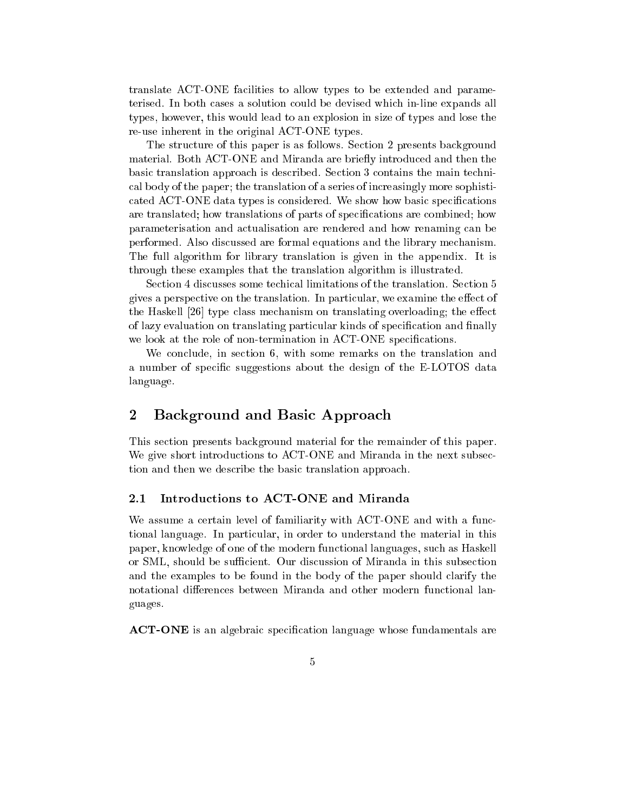translate ACT-ONE facilities to allow types to be extended and parameterised. In both cases a solution could be devised which in-line expands all types, however, this would lead to an explosion in size of types and lose the re-use inherent in the original ACT-ONE types.

The structure of this paper is as follows. Section 2 presents background material. Both ACT-ONE and Miranda are briefly introduced and then the basic translation approach is described. Section 3 contains the main technical body of the paper; the translation of a series of increasingly more sophisticated ACT-ONE data types is considered. We show how basic specications are translated; how translations of parts of specifications are combined; how parameterisation and actualisation are rendered and how renaming can be performed. Also discussed are formal equations and the library mechanism. The full algorithm for library translation is given in the appendix. It is through these examples that the translation algorithm is illustrated.

Section 4 discusses some techical limitations of the translation. Section 5 gives a perspective on the translation. In particular, we examine the effect of the Haskell  $[26]$  type class mechanism on translating overloading; the effect of lazy evaluation on translating particular kinds of specification and finally we look at the role of non-termination in ACT-ONE specifications.

We conclude, in section 6, with some remarks on the translation and a number of specic suggestions about the design of the E-LOTOS data language.

# 2 Background and Basic Approach

This section presents background material for the remainder of this paper. We give short introductions to ACT-ONE and Miranda in the next subsection and then we describe the basic translation approach.

### 2.1 Introductions to ACT-ONE and Miranda

We assume a certain level of familiarity with ACT-ONE and with a functional language. In particular, in order to understand the material in this paper, knowledge of one of the modern functional languages, such as Haskell or SML, should be sufficient. Our discussion of Miranda in this subsection and the examples to be found in the body of the paper should clarify the notational differences between Miranda and other modern functional languages.

**ACT-ONE** is an algebraic specification language whose fundamentals are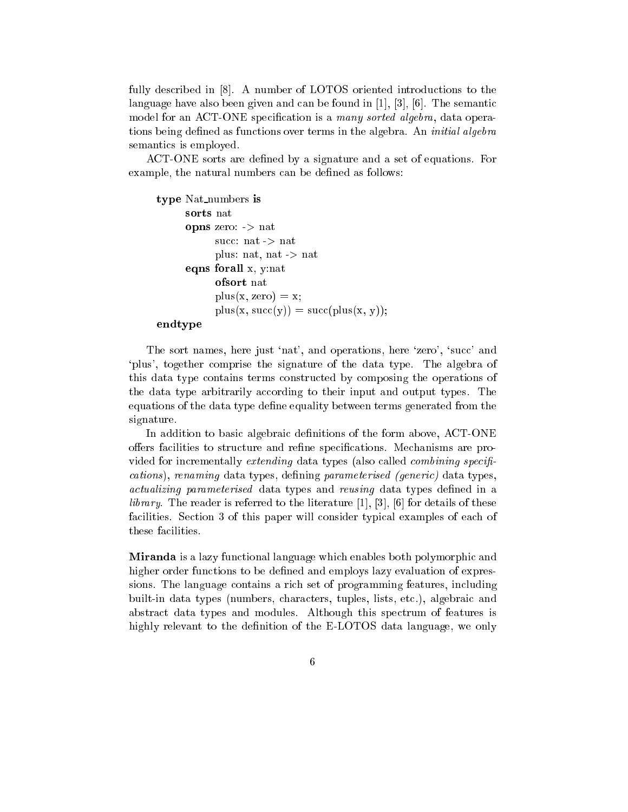fully described in [8]. A number of LOTOS oriented introductions to the language have also been given and can be found in [1], [3], [6]. The semantic model for an ACT-ONE specification is a many sorted algebra, data operations being defined as functions over terms in the algebra. An *initial algebra* semantics is employed.

ACT-ONE sorts are defined by a signature and a set of equations. For example, the natural numbers can be defined as follows:

```
type Nat numbers is
     sorts nat
     opns zero: -> nat
           succ: nat -> nat
           plus: nat, nat -> nat
     eqns forall x, y:nat
           ofsort nat
           plus(x, zero) = x;plus(x, succ(y)) = succ(plus(x, y));
```
### endtype

The sort names, here just 'nat', and operations, here 'zero', 'succ' and `plus', together comprise the signature of the data type. The algebra of this data type contains terms constructed by composing the operations of the data type arbitrarily according to their input and output types. The equations of the data type define equality between terms generated from the signature.

In addition to basic algebraic definitions of the form above, ACT-ONE offers facilities to structure and refine specifications. Mechanisms are provided for incrementally extending data types (also called *combining specifi*cations), renaming data types, defining parameterised (generic) data types, actualizing parameterised data types and reusing data types defined in a *library*. The reader is referred to the literature  $[1]$ ,  $[3]$ ,  $[6]$  for details of these facilities. Section 3 of this paper will consider typical examples of each of these facilities.

Miranda is a lazy functional language which enables both polymorphic and higher order functions to be defined and employs lazy evaluation of expressions. The language contains a rich set of programming features, including built-in data types (numbers, characters, tuples, lists, etc.), algebraic and abstract data types and modules. Although this spectrum of features is highly relevant to the definition of the E-LOTOS data language, we only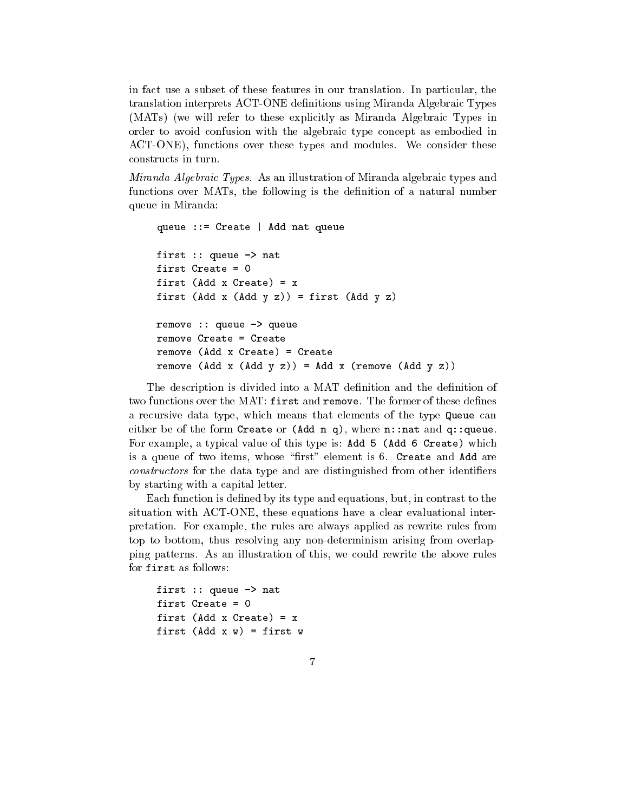in fact use a subset of these features in our translation. In particular, the translation interprets ACT-ONE denitions using Miranda Algebraic Types (MATs) (we will refer to these explicitly as Miranda Algebraic Types in order to avoid confusion with the algebraic type concept as embodied in ACT-ONE), functions over these types and modules. We consider these constructs in turn.

Miranda Algebraic Types. As an illustration of Miranda algebraic types and functions over MATs, the following is the definition of a natural number queue in Miranda:

```
queue ::= Create | Add nat queue
first :: queue -> nat
first Create = 0first (Add x Create) = xfirst (Add x (Add y z)) = first (Add y z)
remove :: queue -> queue
remove Create = Create
remove (Add x Create) = Create
remove (Add x Created) = Created
remove (Add x (Add y z)) = Add x (remove (Add y z))
```
The description is divided into a MAT definition and the definition of two functions over the MAT: first and remove. The former of these defines a recursive data type, which means that elements of the type Queue can either be of the form Create or  $(Add n q)$ , where n::nat and q::queue. For example, a typical value of this type is: Add 5 (Add 6 Create) which is a queue of two items, whose "first" element is  $6$ . Create and Add are constructors for the data type and are distinguished from other identifiers by starting with a capital letter.

Each function is defined by its type and equations, but, in contrast to the situation with ACT-ONE, these equations have a clear evaluational interpretation. For example, the rules are always applied as rewrite rules from top to bottom, thus resolving any non-determinism arising from overlapping patterns. As an illustration of this, we could rewrite the above rules for first as follows:

```
first :: queue -> nat
first Create = 0
first (Add x Create) = xfirst (Add x w) = first w
```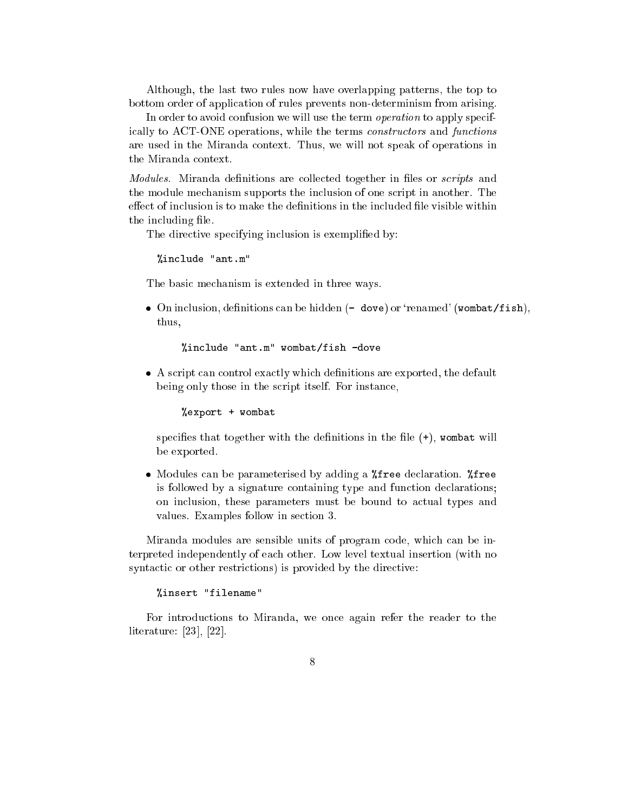Although, the last two rules now have overlapping patterns, the top to bottom order of application of rules prevents non-determinism from arising.

In order to avoid confusion we will use the term *operation* to apply specifically to ACT-ONE operations, while the terms constructors and functions are used in the Miranda context. Thus, we will not speak of operations in the Miranda context.

*Modules*. Miranda definitions are collected together in files or *scripts* and the module mechanism supports the inclusion of one script in another. The effect of inclusion is to make the definitions in the included file visible within the including file.

The directive specifying inclusion is exemplified by:

"include "ant.m" %include "ant.m"

The basic mechanism is extended in three ways.

• On inclusion, definitions can be hidden  $(-$  dove) or 'renamed' (wombat/fish), thus,

%include "ant.m" wombat/fish -dove

 $\bullet$  A script can control exactly which definitions are exported, the default being only those in the script itself. For instance,

%export + wombat

specifies that together with the definitions in the file  $(+)$ , wombat will be exported.

• Modules can be parameterised by adding a *\**free declaration. \*free is followed by a signature containing type and function declarations; on inclusion, these parameters must be bound to actual types and values. Examples follow in section 3.

Miranda modules are sensible units of program code, which can be interpreted independently of each other. Low level textual insertion (with no syntactic or other restrictions) is provided by the directive:

%insert "filename"

For introductions to Miranda, we once again refer the reader to the literature: [23], [22].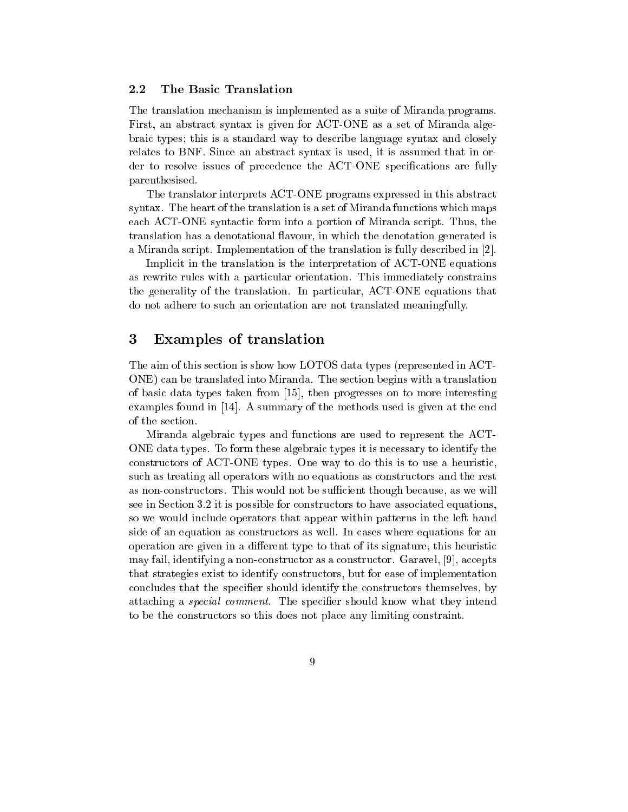#### $2.2$ The Basic Translation

The translation mechanism is implemented as a suite of Miranda programs. First, an abstract syntax is given for ACT-ONE as a set of Miranda algebraic types; this is a standard way to describe language syntax and closely relates to BNF. Since an abstract syntax is used, it is assumed that in order to resolve issues of precedence the ACT-ONE specications are fully parenthesised.

The translator interprets ACT-ONE programs expressed in this abstract syntax. The heart of the translation is a set of Miranda functions which maps each ACT-ONE syntactic form into a portion of Miranda script. Thus, the translation has a denotational flavour, in which the denotation generated is a Miranda script. Implementation of the translation is fully described in [2].

Implicit in the translation is the interpretation of ACT-ONE equations as rewrite rules with a particular orientation. This immediately constrains the generality of the translation. In particular, ACT-ONE equations that do not adhere to such an orientation are not translated meaningfully.

#### 3 Examples of translation

The aim of this section is show how LOTOS data types (represented in ACT-ONE) can be translated into Miranda. The section begins with a translation of basic data types taken from [15], then progresses on to more interesting examples found in [14]. A summary of the methods used is given at the end of the section.

Miranda algebraic types and functions are used to represent the ACT-ONE data types. To form these algebraic types it is necessary to identify the constructors of ACT-ONE types. One way to do this is to use a heuristic, such as treating all operators with no equations as constructors and the rest as non-constructors. This would not be sufficient though because, as we will see in Section 3.2 it is possible for constructors to have associated equations, so we would include operators that appear within patterns in the left hand side of an equation as constructors as well. In cases where equations for an operation are given in a different type to that of its signature, this heuristic may fail, identifying a non-constructor as a constructor. Garavel, [9], accepts that strategies exist to identify constructors, but for ease of implementation concludes that the specier should identify the constructors themselves, by attaching a special comment. The specier should know what they intend to be the constructors so this does not place any limiting constraint.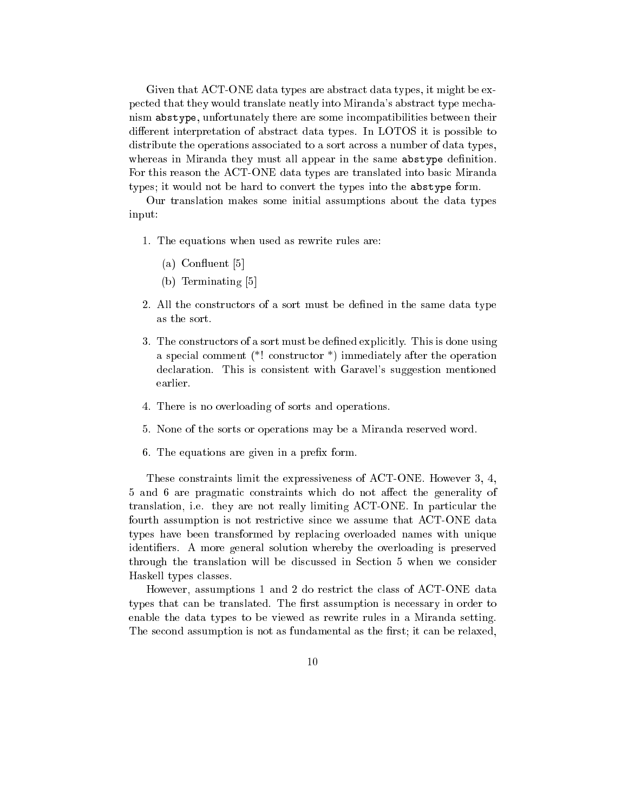Given that ACT-ONE data types are abstract data types, it might be expected that they would translate neatly into Miranda's abstract type mechanism abstype, unfortunately there are some incompatibilities between their different interpretation of abstract data types. In LOTOS it is possible to distribute the operations associated to a sort across a number of data types, whereas in Miranda they must all appear in the same abstype definition. For this reason the ACT-ONE data types are translated into basic Miranda types; it would not be hard to convert the types into the abstype form.

Our translation makes some initial assumptions about the data types input:

- 1. The equations when used as rewrite rules are:
	- (a) Con
	uent [5]
	- (b) Terminating [5]
- 2. All the constructors of a sort must be defined in the same data type
- 3. The constructors of a sort must be defined explicitly. This is done using a special comment (\*! constructor \*) immediately after the operation declaration. This is consistent with Garavel's suggestion mentioned earlier.
- 4. There is no overloading of sorts and operations.
- 5. None of the sorts or operations may be a Miranda reserved word.
- 6. The equations are given in a prefix form.

These constraints limit the expressiveness of ACT-ONE. However 3, 4, 5 and 6 are pragmatic constraints which do not affect the generality of translation, i.e. they are not really limiting ACT-ONE. In particular the fourth assumption is not restrictive since we assume that ACT-ONE data types have been transformed by replacing overloaded names with unique identiers. A more general solution whereby the overloading is preserved through the translation will be discussed in Section 5 when we consider Haskell types classes.

However, assumptions 1 and 2 do restrict the class of ACT-ONE data types that can be translated. The first assumption is necessary in order to enable the data types to be viewed as rewrite rules in a Miranda setting. The second assumption is not as fundamental as the first; it can be relaxed,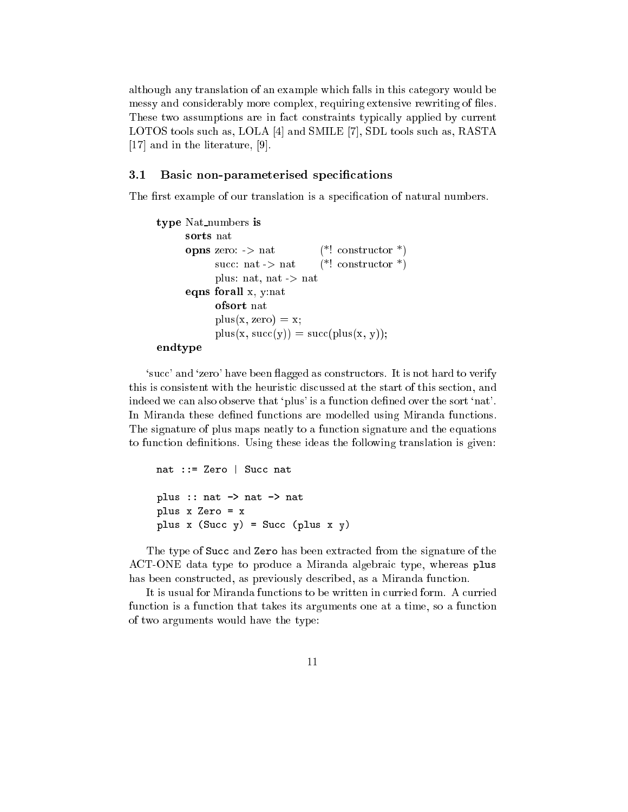although any translation of an example which falls in this category would be messy and considerably more complex, requiring extensive rewriting of files. These two assumptions are in fact constraints typically applied by current LOTOS tools such as, LOLA [4] and SMILE [7], SDL tools such as, RASTA [17] and in the literature, [9].

### 3.1 Basic non-parameterised specifications

The first example of our translation is a specification of natural numbers.

```
type Nat numbers is
     sorts nat
     opns zero: \rightarrow nat (*! constructor *)
            succ: nat \rightarrow nat (*! constructor *)
            plus: nat, nat -> nat
     eqns forall x, y:nat
            ofsort nat
            plus(x, zero) = x;plus(x, succ(y)) = succ(plus(x, y));
```

```
endtype
```
'succ' and 'zero' have been flagged as constructors. It is not hard to verify this is consistent with the heuristic discussed at the start of this section, and indeed we can also observe that `plus' is a function dened over the sort `nat'. In Miranda these defined functions are modelled using Miranda functions. The signature of plus maps neatly to a function signature and the equations to function definitions. Using these ideas the following translation is given:

```
nat ::= Zero | Succ nat
plus :: nat -> nat -> nat
plus x Zero = x
plus x (Succ y) = Succ (plus x y)
```
The type of Succ and Zero has been extracted from the signature of the ACT-ONE data type to produce a Miranda algebraic type, whereas plus has been constructed, as previously described, as a Miranda function.

It is usual for Miranda functions to be written in curried form. A curried function is a function that takes its arguments one at a time, so a function of two arguments would have the type: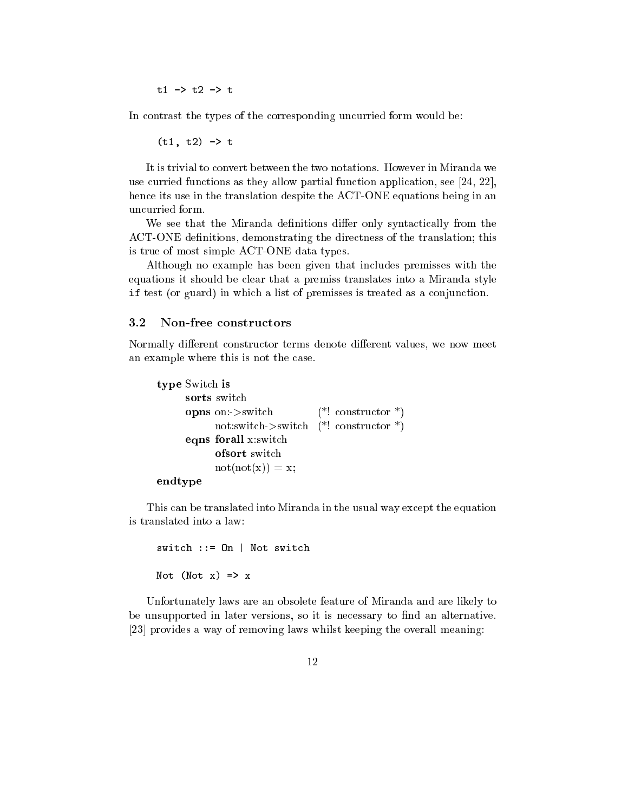$t1 - > t2 - > t$ 

In contrast the types of the corresponding uncurried form would be:

 $(t1, t2) \rightarrow t$ 

It is trivial to convert between the two notations. However in Miranda we use curried functions as they allow partial function application, see [24, 22], hence its use in the translation despite the ACT-ONE equations being in an uncurried form.

We see that the Miranda definitions differ only syntactically from the ACT-ONE definitions, demonstrating the directness of the translation; this is true of most simple ACT-ONE data types.

Although no example has been given that includes premisses with the equations it should be clear that a premiss translates into a Miranda style if test (or guard) in which a list of premisses is treated as a conjunction.

#### 3.2 Non-free constructors

Normally different constructor terms denote different values, we now meet an example where this is not the case.

```
type Switch is
     sorts switch
     opns on:->switch (*! constructor *)
           not:switch->switch (*! constructor *)
     eqns forall x:switch
           ofsort switch
           not(not(x)) = x;endtype
```
This can be translated into Miranda in the usual way except the equation is translated into a law:

```
switch := 0n | Not switch
Not (Not x) => x
```
Unfortunately laws are an obsolete feature of Miranda and are likely to be unsupported in later versions, so it is necessary to find an alternative. [23] provides a way of removing laws whilst keeping the overall meaning: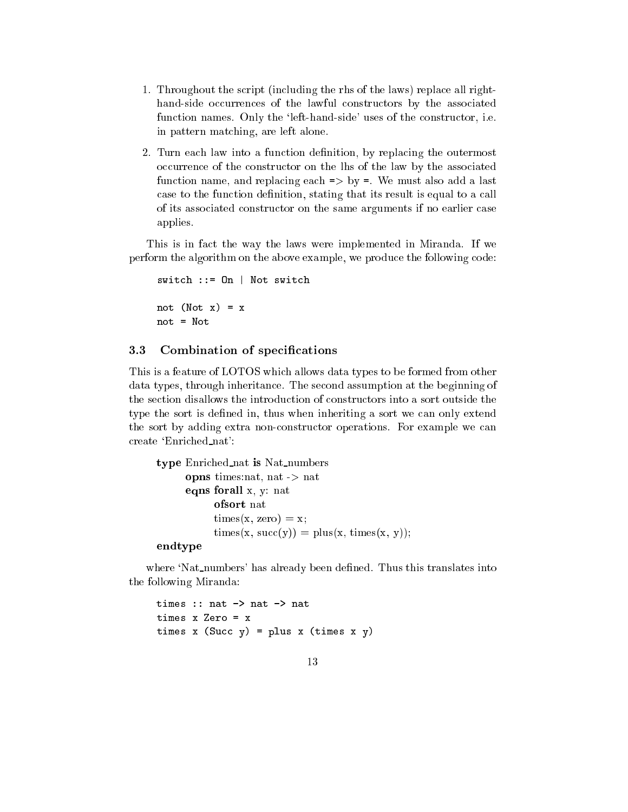- 1. Throughout the script (including the rhs of the laws) replace all righthand-side occurrences of the lawful constructors by the associated function names. Only the 'left-hand-side' uses of the constructor, i.e. in pattern matching, are left alone.
- 2. Turn each law into a function definition, by replacing the outermost occurrence of the constructor on the lhs of the law by the associated function name, and replacing each  $\Rightarrow$  by  $\equiv$ . We must also add a last case to the function definition, stating that its result is equal to a call of its associated constructor on the same arguments if no earlier case applies.

This is in fact the way the laws were implemented in Miranda. If we perform the algorithm on the above example, we produce the following code:

```
switch ::= On | Not switch
not (Not x) = xnot = Not
```
### 3.3 Combination of specifications

This is a feature of LOTOS which allows data types to be formed from other data types, through inheritance. The second assumption at the beginning of the section disallows the introduction of constructors into a sort outside the type the sort is defined in, thus when inheriting a sort we can only extend the sort by adding extra non-constructor operations. For example we can create `Enriched nat':

```
type Enriched nat is Nat numbers
     opns times:nat, nat -> nat
     eqns forall x, y: nat
           ofsort nat
           times(x, zero) = x;times(x, succ(y)) = plus(x, times(x, y));
```
endtype

where 'Nat numbers' has already been defined. Thus this translates into the following Miranda:

```
times :: nat -> nat -> nat
times x Zero = x
times x (Succ y) = plus x (times x y)
```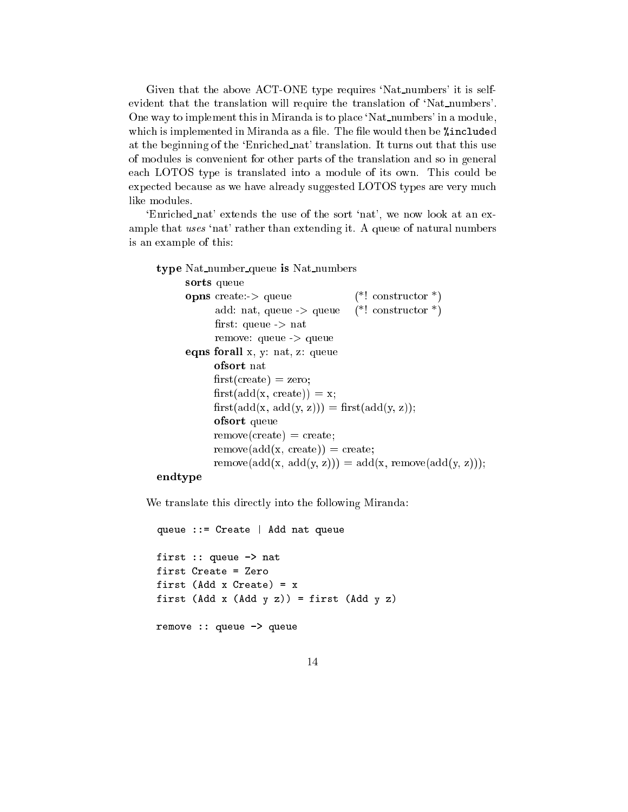Given that the above ACT-ONE type requires 'Nat numbers' it is selfevident that the translation will require the translation of 'Nat numbers'. One way to implement this in Miranda is to place 'Nat\_numbers' in a module, which is implemented in Miranda as a file. The file would then be *%*included at the beginning of the `Enriched nat' translation. It turns out that this use of modules is convenient for other parts of the translation and so in general each LOTOS type is translated into a module of its own. This could be expected because as we have already suggested LOTOS types are very much like modules.

`Enriched nat' extends the use of the sort `nat', we now look at an example that uses 'nat' rather than extending it. A queue of natural numbers is an example of this:

```
type Nat_number_queue is Nat_numbers
      sorts queue
      opns create: > queue (*! constructor *)
            add: nat, queue \rightarrow queue (*! constructor *)
            first: queue \rightarrow nat
            remove: queue -> queue
      eqns forall x, y: nat, z: queue
            ofsort nat
            first(create) = zero;first(add(x, create)) = x;first(add(x, add(y, z))) = first(add(y, z));ofsort queue
            remove(create) = create;remove(add(x, create)) = create;remove(\text{add}(x, \text{add}(y, z))) = \text{add}(x, \text{remove}(\text{add}(y, z)));
```
### endtype

We translate this directly into the following Miranda:

```
queue ::= Create | Add nat queue
first :: queue -> nat
first Create = Zero
first (Add x Create) = xfirst (Add x (Add y z)) = first (Add y z)
remove :: queue -> queue
```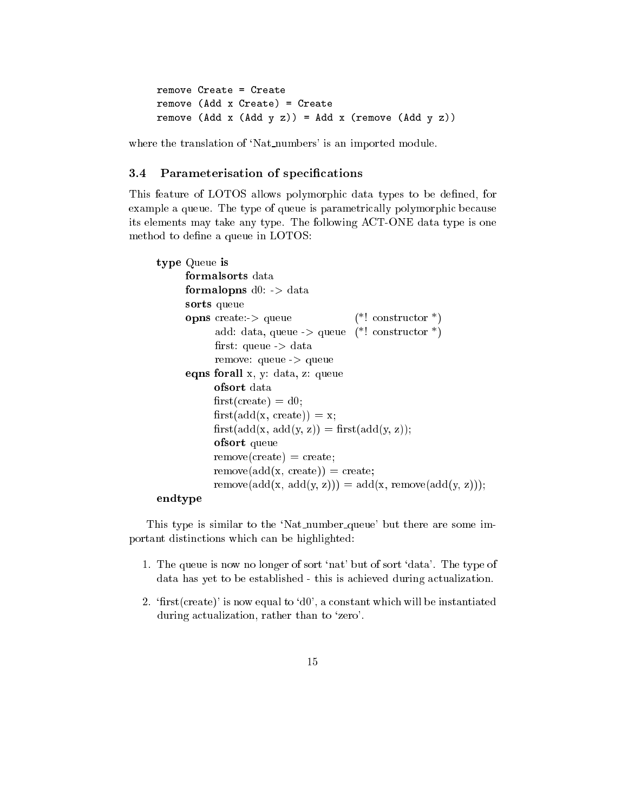```
remove Create = Createremove (Add x Create) = Create
remove (Add x (Add y z)) = Add x (remove (Add y z))
```
where the translation of 'Nat numbers' is an imported module.

#### 3.4 Parameterisation of specifications

This feature of LOTOS allows polymorphic data types to be dened, for example a queue. The type of queue is parametrically polymorphic because its elements may take any type. The following ACT-ONE data type is one method to define a queue in LOTOS:

```
type Queue is
     formalsorts data
     formalopns d0: > data
     sorts queue
     opns create:-> queue (*) constructor *)
           add: data, queue \rightarrow queue (*) constructor *)
           first: queue \geq data
           remove: queue -> queue
     eqns forall x, y: data, z: queue
           ofsort data
           first(create) = d0;first(add(x, create)) = x;first(add(x, add(y, z)) = first(add(y, z));ofsort queue
           remove(create) = create;remove(add(x, create)) = create;remove(add(x, add(y, z))) = add(x, remove(add(y, z)));
```
### endtype

This type is similar to the 'Nat number queue' but there are some important distinctions which can be highlighted:

- 1. The queue is now no longer of sort `nat' but of sort `data'. The type of data has yet to be established - this is achieved during actualization.
- 2. 'first(create)' is now equal to 'd0', a constant which will be instantiated during actualization, rather than to 'zero'.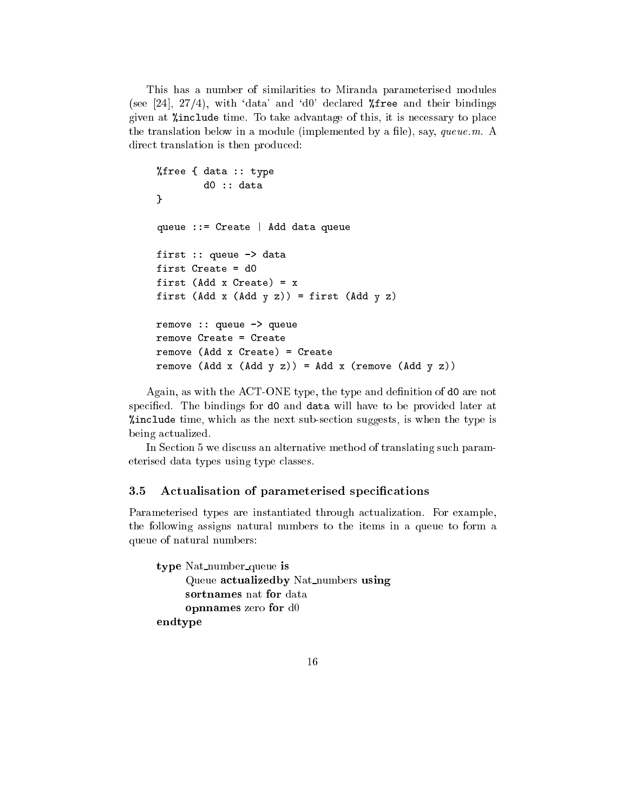This has a number of similarities to Miranda parameterised modules (see [24], 27/4), with 'data' and 'd0' declared  $\lambda$ free and their bindings given at %include time. To take advantage of this, it is necessary to place the translation below in a module (implemented by a file), say, queue.m. A direct translation is then produced:

```
%free { data :: type
        d0 :: data
}
queue ::= Create | Add data queue
first :: queue -> data
first Create = d0
first (Add x Create) = xfirst (Add x (Add y z)) = first (Add y z)
remove :: queue -> queue
remove Create = Create
remove (Add x Create) = Create
remove (Add x Created) = Created
remove (Add x (Add y z)) = Add x (remove (Add y z))
```
Again, as with the ACT-ONE type, the type and definition of d0 are not specied. The bindings for d0 and data will have to be provided later at %include time, which as the next sub-section suggests, is when the type is being actualized.

In Section 5 we discuss an alternative method of translating such parameterised data types using type classes.

### 3.5 Actualisation of parameterised specifications

Parameterised types are instantiated through actualization. For example, the following assigns natural numbers to the items in a queue to form a queue of natural numbers:

type Nat number queue is Queue actualizedby Nat numbers using sortnames nat for data opnnames zero for d0 endtype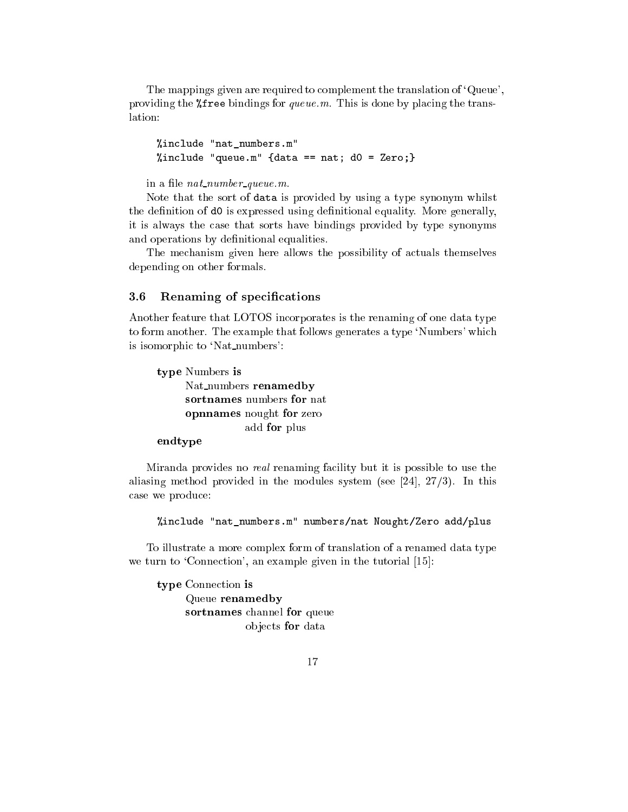The mappings given are required to complement the translation of `Queue', providing the %free bindings for queue.m. This is done by placing the translation:

"include "nat numbers.m"  $\mathbf{v}$  include  $\mathbf{v}$  include  $\mathbf{v}$  include  $\mathbf{v}$  include  $\mathbf{v}$  include  $\mathbf{v}$  include  $\mathbf{v}$  include  $\mathbf{v}$  include  $\mathbf{v}$  include  $\mathbf{v}$  include  $\mathbf{v}$  include  $\mathbf{v}$  include  $\mathbf{v}$  include %include "queue.m" {data == nat; d0 = Zero;}

in a file *nat\_number\_queue.m.* 

Note that the sort of data is provided by using a type synonym whilst the definition of d0 is expressed using definitional equality. More generally, it is always the case that sorts have bindings provided by type synonyms and operations by definitional equalities.

The mechanism given here allows the possibility of actuals themselves depending on other formals.

### 3.6 Renaming of specifications

Another feature that LOTOS incorporates is the renaming of one data type to form another. The example that follows generates a type `Numbers' which is isomorphic to 'Nat\_numbers':

type Numbers is Nat\_numbers renamedby sortnames numbers for nat opnnames nought for zero add for plus

# endtype

Miranda provides no real renaming facility but it is possible to use the aliasing method provided in the modules system (see [24],  $27/3$ ). In this case we produce:

%include "nat\_numbers.m" numbers/nat Nought/Zero add/plus

To illustrate a more complex form of translation of a renamed data type we turn to 'Connection', an example given in the tutorial [15]:

type Connection is Queue renamedby sortnames channel for queue ob jects for data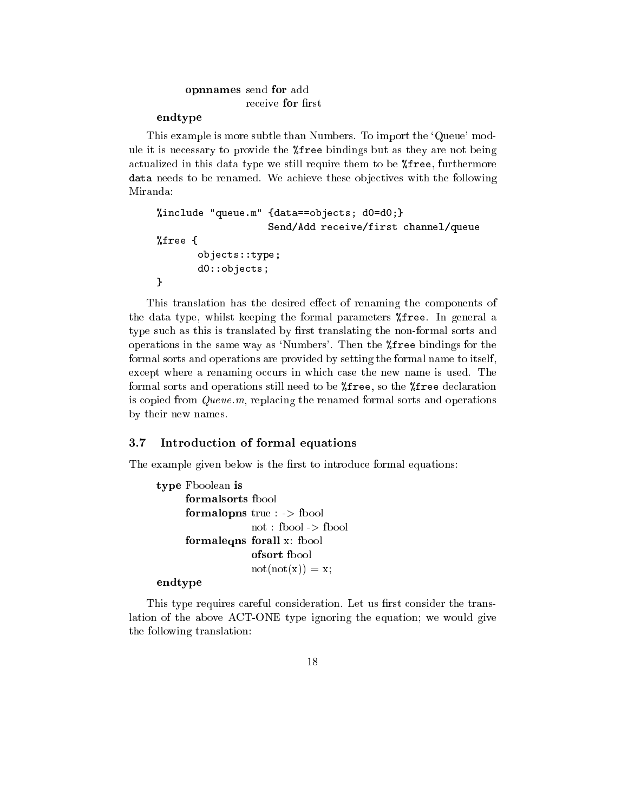# opnnames send for add receive for first

### endtype

This example is more subtle than Numbers. To import the `Queue' module it is necessary to provide the %free bindings but as they are not being actualized in this data type we still require them to be %free, furthermore data needs to be renamed. We achieve these ob jectives with the following

```
%include "queue.m" {data==objects; d0=d0;}
                   Send/Add receive/first channel/queue
%free {
       objects::type;
       d0::objects;
}
```
This translation has the desired effect of renaming the components of the data type, whilst keeping the formal parameters %free. In general a type such as this is translated by first translating the non-formal sorts and operations in the same way as 'Numbers'. Then the  $\frac{1}{6}$  ree bindings for the formal sorts and operations are provided by setting the formal name to itself, except where a renaming occurs in which case the new name is used. The formal sorts and operations still need to be %free, so the %free declaration is copied from Queue.m, replacing the renamed formal sorts and operations by their new names.

#### Introduction of formal equations  $3.7$

The example given below is the first to introduce formal equations:

```
type Fboolean is
     formalopns true : -> fbool
                  not : fbool -> fbool
     formaleqns forall x: fbool
                  ofsort fbool
                  not(not(x)) = x;
```
## endtype

This type requires careful consideration. Let us first consider the translation of the above ACT-ONE type ignoring the equation; we would give the following translation: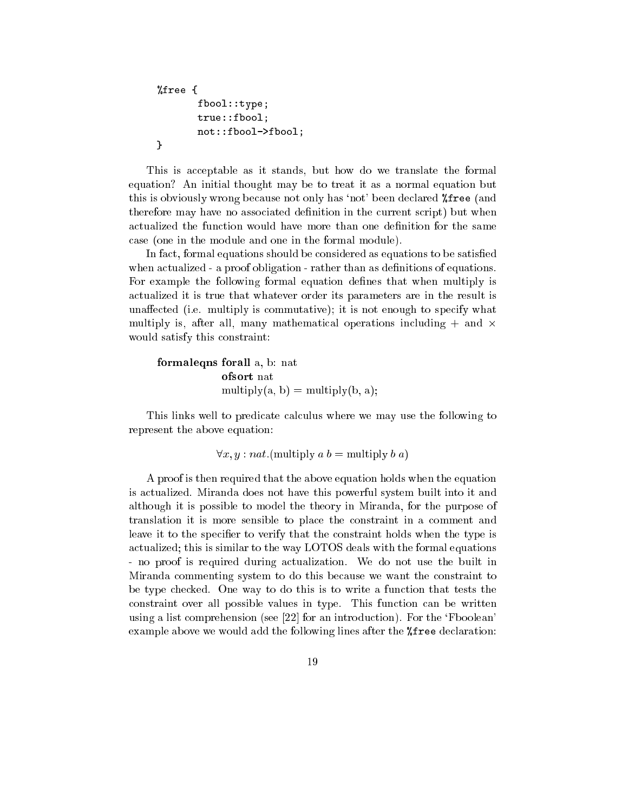```
%free {
       fbool::type;
       true::fbool;
       not::fbool->fbool;
}
```
This is acceptable as it stands, but how do we translate the formal equation? An initial thought may be to treat it as a normal equation but this is obviously wrong because not only has `not' been declared %free (and therefore may have no associated definition in the current script) but when actualized the function would have more than one definition for the same case (one in the module and one in the formal module).

In fact, formal equations should be considered as equations to be satisfied when actualized - a proof obligation - rather than as definitions of equations. For example the following formal equation defines that when multiply is actualized it is true that whatever order its parameters are in the result is unaffected (i.e. multiply is commutative); it is not enough to specify what multiply is, after all, many mathematical operations including  $+$  and  $\times$ would satisfy this constraint:

```
formaleqns forall a, b: nat
             ofsort nat
             multiply(a, b) = multiply(b, a);
```
This links well to predicate calculus where we may use the following to represent the above equation:

$$
\forall x, y : nat. (multiply a b = multiply b a)
$$

A proof is then required that the above equation holds when the equation is actualized. Miranda does not have this powerful system built into it and although it is possible to model the theory in Miranda, for the purpose of translation it is more sensible to place the constraint in a comment and leave it to the specifier to verify that the constraint holds when the type is actualized; this is similar to the way LOTOS deals with the formal equations - no proof is required during actualization. We do not use the built in Miranda commenting system to do this because we want the constraint to be type checked. One way to do this is to write a function that tests the constraint over all possible values in type. This function can be written using a list comprehension (see  $[22]$  for an introduction). For the 'Fboolean' example above we would add the following lines after the %free declaration: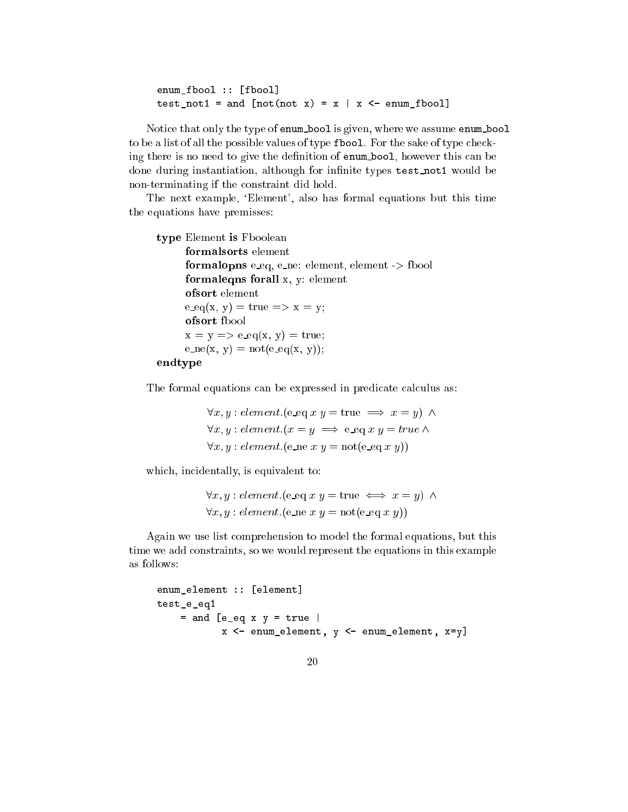enum\_fbool :: [fbool] test\_not1 = and  $[not(not x) = x | x \leftarrow enum_fbool]$ 

Notice that only the type of enum bool is given, where we assume enum bool to be a list of all the possible values of type fbool. For the sake of type checking there is no need to give the definition of **enum** bool, however this can be done during instantiation, although for infinite types test\_not1 would be non-terminating if the constraint did hold.

The next example, 'Element', also has formal equations but this time the equations have premisses:

```
type Element is Fboolean
      formalsorts element
      formalopns e eq, e ne: element, element -> fbool
      formaleqns forall x, y: element
      ofsort element
      e_{\text{eq}}(x, y) = \text{true} \Rightarrow x = y;ofsort fbool
      x = y \implies e\_eq(x, y) = true;e_{\text{ne}}(x, y) = \text{not}(e_{\text{ne}}(x, y));endtype
```
The formal equations can be expressed in predicate calculus as:

 $\forall x, y : element \in \mathbf{eq} \ x \ y = \text{true} \implies x = y) \ \wedge$  $\forall x, y : element.(x = y \implies e\_eq x y = true \land$  $\forall x, y : element \leq (e \neq x, y) = \text{not}(e \neq y))$ 

which, incidentally, is equivalent to:

```
\forall x, y : element. (e\_eq x y = true \iff x = y) \land\forall x, y : element.(e_ne x, y = \text{not}(e \text{eq } x, y))
```
Again we use list comprehension to model the formal equations, but this time we add constraints, so we would represent the equations in this example as follows:

```
enum_element :: [element]
test_e_eq1
    = and [e_eq \times y = true \midx <- enum_element, y <- enum_element, x=y]
```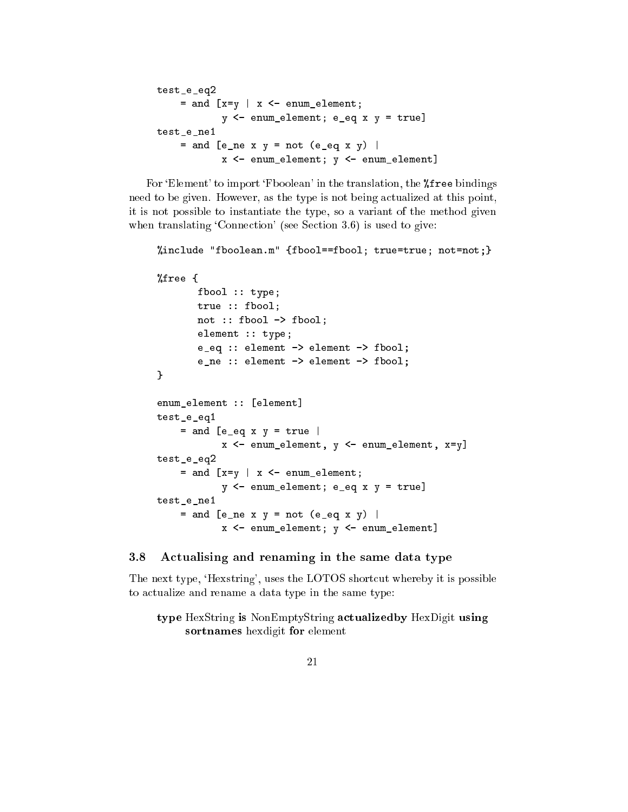```
test_e_eq2
    = and [x=y | x < - enum_element;
           y <- enum_element; e_eq x y = true]
test e ne1
    = and [e_ne x y = not (e_eq x y) |
           x <- enum element; y <- enum element]
```
For 'Element' to import 'Fboolean' in the translation, the **"**free bindings" need to be given. However, as the type is not being actualized at this point, it is not possible to instantiate the type, so a variant of the method given when translating 'Connection' (see Section 3.6) is used to give:

```
%include "fboolean.m" {fbool==fbool; true=true; not=not;}
%free {
       fbool :: type;
       true :: fbool;
       not :: fbool -> fbool;
       element :: type;
       e_eq :: element -> element -> fbool;
       e_ne :: element -> element -> fbool;
}
enum_element :: [element]
test_e_eq1
    = and [e_eq \times y = true]x <- enum_element, y <- enum_element, x=y]
test_e_eq2
    = and [x=y | x < - enum_element;
           y <- enum_element; e_eq x y = true]
test_e_ne1
    = and [e_ne x y = not (e_eq x y) |
           x <- enum_element; y <- enum_element]
```
### 3.8 Actualising and renaming in the same data type

The next type, 'Hexstring', uses the LOTOS shortcut whereby it is possible to actualize and rename a data type in the same type:

type HexString is NonEmptyString actualizedby HexDigit using sortnames hexdigit for element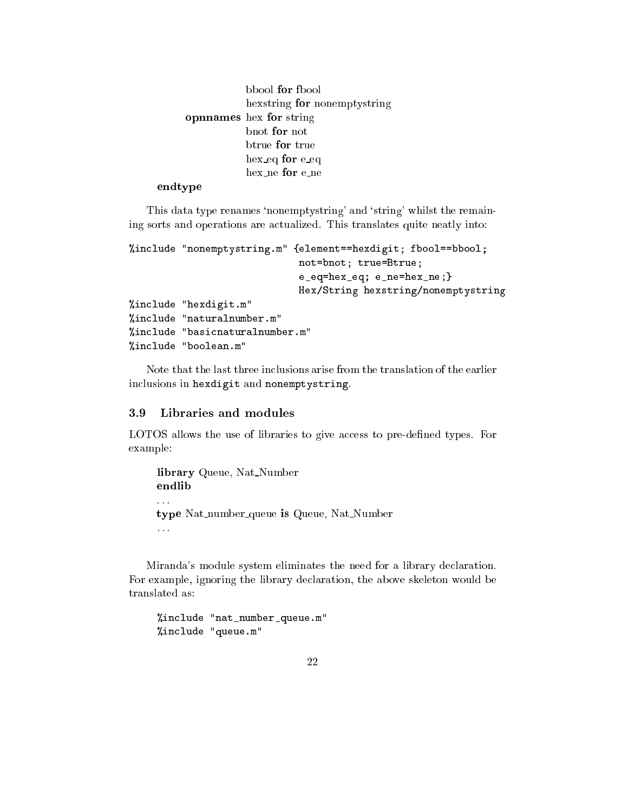bbool for fbool hexstring for nonemptystring opnnames hex for string bnot for not btrue for true hex\_eq for e\_eq hex\_ne for e\_ne

## endtype

This data type renames 'nonemptystring' and 'string' whilst the remaining sorts and operations are actualized. This translates quite neatly into:

```
%include "nonemptystring.m" {element==hexdigit; fbool==bbool;
                                       not=bnot; true=Btrue;
                                       e_eq=hex_eq; e_ne=hex_ne;}
                                       Hex/String hexstring/nonemptystring
%include "hexdigit.m"
%include "naturalnumber.m"
%include "basicnaturalnumber.m"
"include "boolean.m"
\mathcal{W} in contract the boolean. However, we are the boolean of the boolean of the boolean of the boolean.
```
Note that the last three inclusions arise from the translation of the earlier inclusions in hexdigit and nonemptystring.

#### Libraries and modules 3.9

LOTOS allows the use of libraries to give access to pre-dened types. For example:

```
library Queue, Nat_Number
endlib
\mathbb{R}^2type Nat_number_queue is Queue, Nat_Number
. . .
```
Miranda's module system eliminates the need for a library declaration. For example, ignoring the library declaration, the above skeleton would be translated as:

```
%include "nat_number_queue.m"
%include "queue.m"
```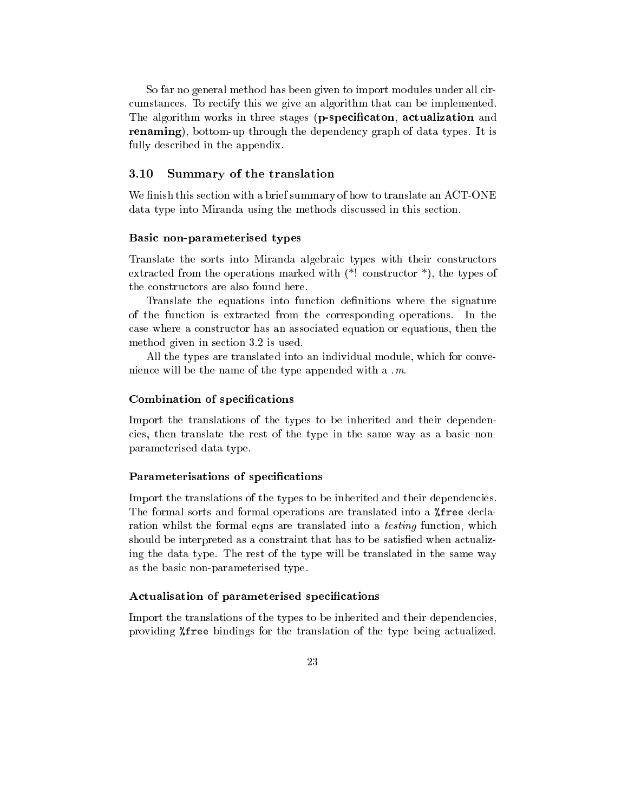So far no general method has been given to import modules under all circumstances. To rectify this we give an algorithm that can be implemented. The algorithm works in three stages (p-specificaton, actualization and renaming), bottom-up through the dependency graph of data types. It is fully described in the appendix.

#### 3.10 Summary of the translation

We finish this section with a brief summary of how to translate an ACT-ONE data type into Miranda using the methods discussed in this section.

#### Basic non-parameterised types

Translate the sorts into Miranda algebraic types with their constructors extracted from the operations marked with (\*! constructor \*), the types of the constructors are also found here.

Translate the equations into function denitions where the signature of the function is extracted from the corresponding operations. In the case where a constructor has an associated equation or equations, then the method given in section 3.2 is used.

All the types are translated into an individual module, which for convenience will be the name of the type appended with a .m.

#### Combination of specifications

Import the translations of the types to be inherited and their dependencies, then translate the rest of the type in the same way as a basic nonparameterised data type.

#### Parameterisations of specifications

Import the translations of the types to be inherited and their dependencies. The formal sorts and formal operations are translated into a %free declaration whilst the formal eqns are translated into a testing function, which should be interpreted as a constraint that has to be satisfied when actualizing the data type. The rest of the type will be translated in the same way as the basic non-parameterised type.

#### Actualisation of parameterised specifications

Import the translations of the types to be inherited and their dependencies, providing %free bindings for the translation of the type being actualized.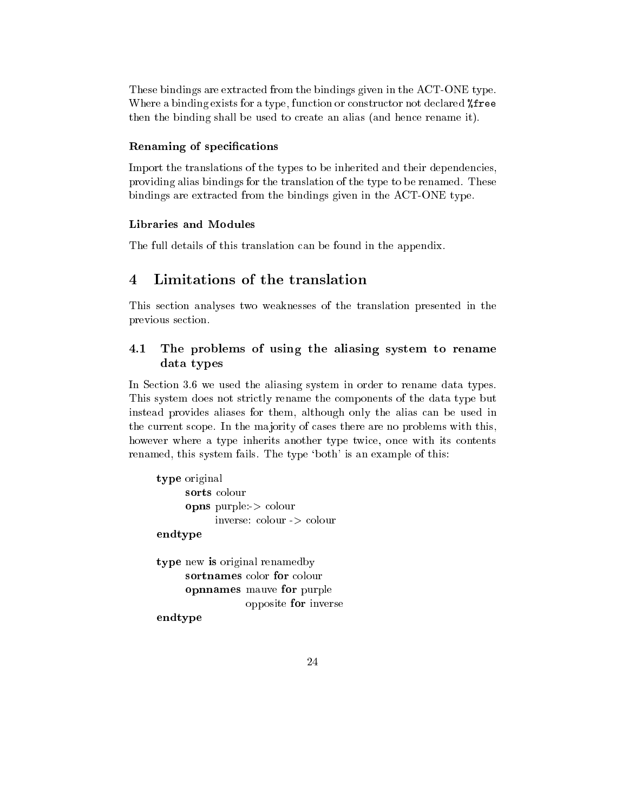These bindings are extracted from the bindings given in the ACT-ONE type. Where a binding exists for a type, function or constructor not declared *Xfree* then the binding shall be used to create an alias (and hence rename it).

### Renaming of specifications

Import the translations of the types to be inherited and their dependencies, providing alias bindings for the translation of the type to be renamed. These bindings are extracted from the bindings given in the ACT-ONE type.

The full details of this translation can be found in the appendix.

# 4 Limitations of the translation

This section analyses two weaknesses of the translation presented in the previous section.

# 4.1 The problems of using the aliasing system to rename data types

In Section 3.6 we used the aliasing system in order to rename data types. This system does not strictly rename the components of the data type but instead provides aliases for them, although only the alias can be used in the current scope. In the majority of cases there are no problems with this, however where a type inherits another type twice, once with its contents renamed, this system fails. The type 'both' is an example of this:

```
type original
     sorts colour
     opns purple:-> colour
           inverse: colour -> colour
endtype
type new is original renamedby
     sortnames color for colour
     opnnames mauve for purple
                 opposite for inverse
endtype
```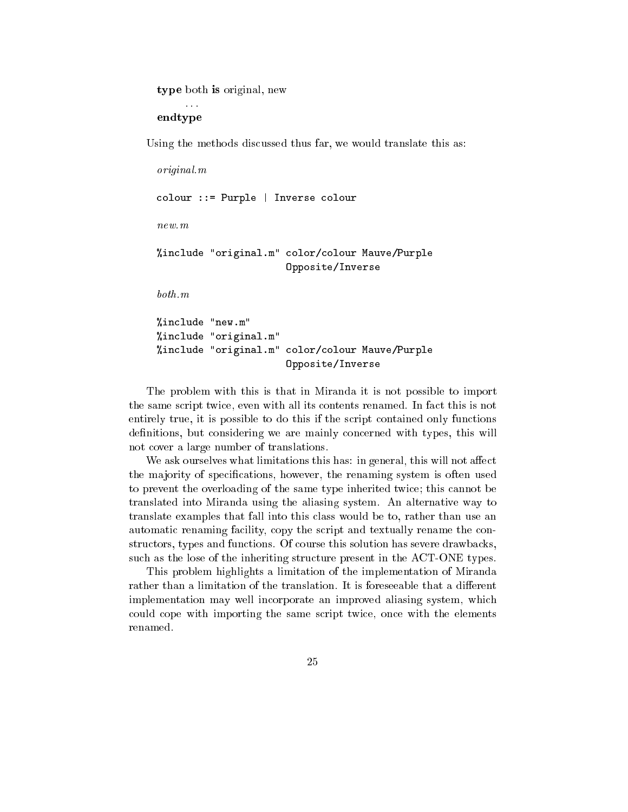type both is original, new

endtype

Using the methods discussed thus far, we would translate this as:

```
original.m
colour ::= Purple | Inverse colour
new.m%include "original.m" color/colour Mauve/Purple
                       Opposite/Inverse
both.m
```
%include "new.m" %include "original.m" %include "original.m" color/colour Mauve/Purple Opposite/Inverse

The problem with this is that in Miranda it is not possible to import the same script twice, even with all its contents renamed. In fact this is not entirely true, it is possible to do this if the script contained only functions definitions, but considering we are mainly concerned with types, this will not cover a large number of translations.

We ask ourselves what limitations this has: in general, this will not affect the majority of specifications, however, the renaming system is often used to prevent the overloading of the same type inherited twice; this cannot be translated into Miranda using the aliasing system. An alternative way to translate examples that fall into this class would be to, rather than use an automatic renaming facility, copy the script and textually rename the constructors, types and functions. Of course this solution has severe drawbacks, such as the lose of the inheriting structure present in the ACT-ONE types.

This problem highlights a limitation of the implementation of Miranda rather than a limitation of the translation. It is foreseeable that a different implementation may well incorporate an improved aliasing system, which could cope with importing the same script twice, once with the elements renamed.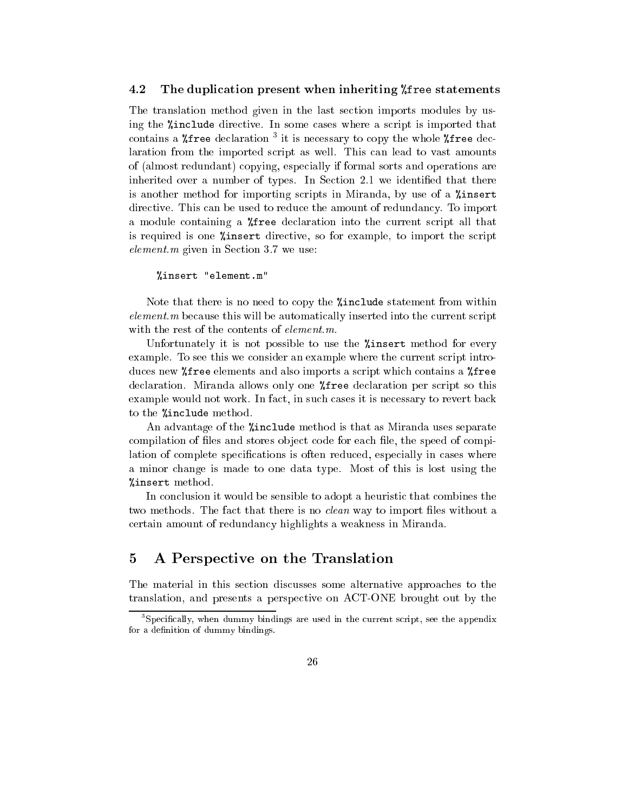#### 4.2 The duplication present when inheriting %free statements

The translation method given in the last section imports modules by using the %include directive. In some cases where a script is imported that contains a  $\kappa$ -ree declaration  $\cdot$  it is necessary to copy the whole  $\kappa$ -ree declaration from the imported script as well. This can lead to vast amounts of (almost redundant) copying, especially if formal sorts and operations are inherited over a number of types. In Section 2.1 we identified that there is another method for importing scripts in Miranda, by use of a %insert directive. This can be used to reduce the amount of redundancy. To import a module containing a %free declaration into the current script all that is required is one %insert directive, so for example, to import the script element.m given in Section 3.7 we use:

#### %insert "element.m"

Note that there is no need to copy the %include statement from within element.m because this will be automatically inserted into the current script with the rest of the contents of *element.m.* 

Unfortunately it is not possible to use the *l*insert method for every example. To see this we consider an example where the current script introduces new %free elements and also imports a script which contains a %free declaration. Miranda allows only one %free declaration per script so this example would not work. In fact, in such cases it is necessary to revert back to the %include method.

An advantage of the "include method is that as Miranda uses separate compilation of files and stores object code for each file, the speed of compilation of complete specifications is often reduced, especially in cases where a minor change is made to one data type. Most of this is lost using the %insert method.

In conclusion it would be sensible to adopt a heuristic that combines the two methods. The fact that there is no *clean* way to import files without a certain amount of redundancy highlights a weakness in Miranda.

# 5 A Perspective on the Translation

The material in this section discusses some alternative approaches to the translation, and presents a perspective on ACT-ONE brought out by the

<sup>3</sup> Specically, when dummy bindings are used in the current script, see the appendix for a definition of dummy bindings.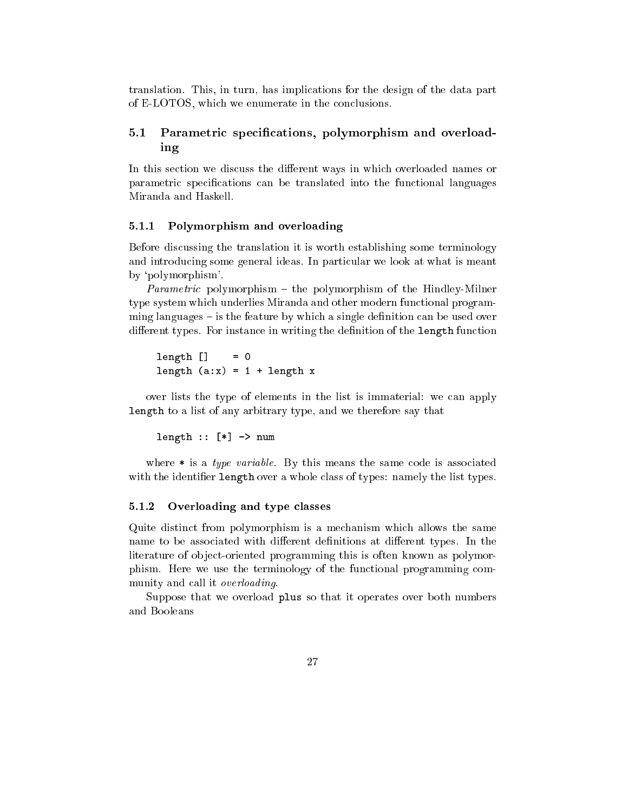translation. This, in turn, has implications for the design of the data part of E-LOTOS, which we enumerate in the conclusions.

#### $5.1\,$ Parametric specifications, polymorphism and overloading

In this section we discuss the different ways in which overloaded names or parametric specications can be translated into the functional languages Miranda and Haskell.

### 5.1.1 Polymorphism and overloading

Before discussing the translation it is worth establishing some terminology and introducing some general ideas. In particular we look at what is meant by `polymorphism'.

*Parametric* polymorphism  $-$  the polymorphism of the Hindley-Milner type system which underlies Miranda and other modern functional programming languages  $-$  is the feature by which a single definition can be used over different types. For instance in writing the definition of the length function

 $length [ ] = 0$ length  $(a:x) = 1 + length x$ 

over lists the type of elements in the list is immaterial: we can apply length to a list of any arbitrary type, and we therefore say that

length  $::$  [\*]  $\rightarrow$  num

where  $*$  is a type variable. By this means the same code is associated with the identifier length over a whole class of types: namely the list types.

#### $5.1.2$ Overloading and type classes

Quite distinct from polymorphism is a mechanism which allows the same name to be associated with different definitions at different types. In the literature of object-oriented programming this is often known as polymorphism. Here we use the terminology of the functional programming community and call it overloading.

Suppose that we overload plus so that it operates over both numbers and Booleans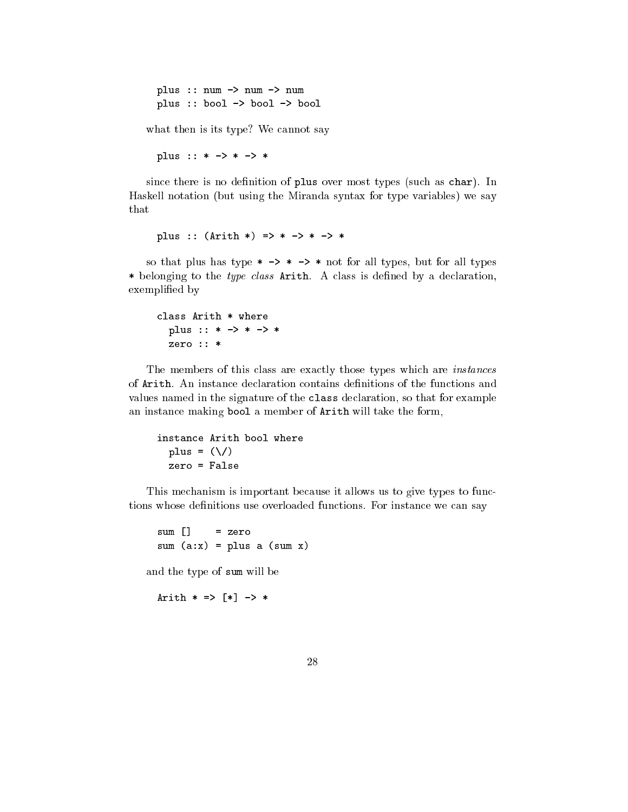plus :: num -> num -> num plus :: bool -> bool -> bool

what then is its type? We cannot say

plus :: \* -> \* -> \*

since there is no definition of plus over most types (such as char). In Haskell notation (but using the Miranda syntax for type variables) we say that

plus ::  $(Arith * ) => * -> * -> *$ 

so that plus has type  $* \rightarrow * \rightarrow *$  not for all types, but for all types \* belonging to the type class  $Arith$ . A class is defined by a declaration, exemplied by

class Arith \* where plus :: \* -> \* -> \* zero :: \*

The members of this class are exactly those types which are instances of Arith. An instance declaration contains definitions of the functions and values named in the signature of the class declaration, so that for example an instance making bool a member of Arith will take the form,

```
instance Arith bool where
 plus = (\setminus)zero = False
```
This mechanism is important because it allows us to give types to functions whose definitions use overloaded functions. For instance we can say

 $sum [$  = zero sum  $(a:x) = plus a (sum x)$ 

and the type of sum will be

Arith  $* = > [ * ] \rightarrow *$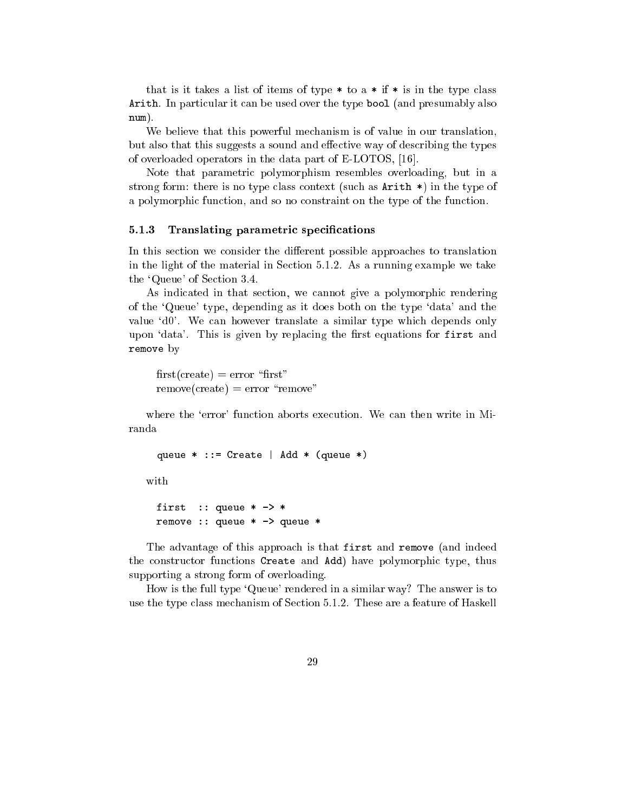that is it takes a list of items of type  $*$  to a  $*$  if  $*$  is in the type class Arith. In particular it can be used over the type bool (and presumably also num). num).

We believe that this powerful mechanism is of value in our translation, but also that this suggests a sound and effective way of describing the types of overloaded operators in the data part of E-LOTOS, [16].

Note that parametric polymorphism resembles overloading, but in a strong form: there is no type class context (such as Arith \*) in the type of a polymorphic function, and so no constraint on the type of the function.

#### 5.1.3 Translating parametric specifications

In this section we consider the different possible approaches to translation in the light of the material in Section 5.1.2. As a running example we take the `Queue' of Section 3.4.

As indicated in that section, we cannot give a polymorphic rendering of the `Queue' type, depending as it does both on the type `data' and the value 'd0'. We can however translate a similar type which depends only upon 'data'. This is given by replacing the first equations for first and remove by

 $first(create) = error$  "first"  $remove(create) = error$  "remove"

where the 'error' function aborts execution. We can then write in Miranda

queue \* ::= Create | Add \* (queue \*)

with

```
first :: queue * -> *
remove :: queue * -> queue *
```
The advantage of this approach is that first and remove (and indeed the constructor functions Create and Add) have polymorphic type, thus supporting a strong form of overloading.

How is the full type 'Queue' rendered in a similar way? The answer is to use the type class mechanism of Section 5.1.2. These are a feature of Haskell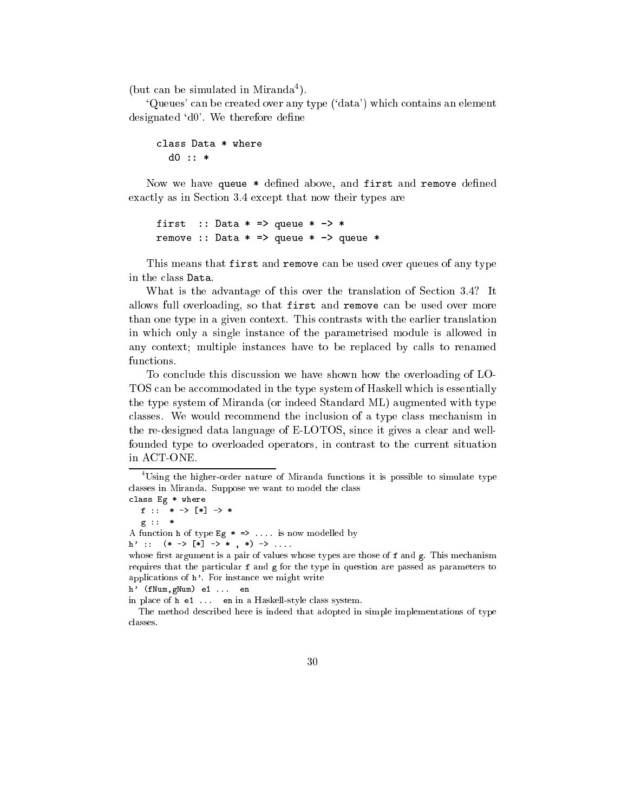(but can be simulated in Miranda<sup>4</sup> ).

`Queues' can be created over any type (`data') which contains an element designated 'd0'. We therefore define

```
class Data * where
 d0 :: *
```
Now we have queue \* defined above, and first and remove defined exactly as in Section 3.4 except that now their types are

first :: Data  $*$  => queue  $*$  ->  $*$ remove :: Data  $*$  => queue  $*$  -> queue  $*$ 

This means that first and remove can be used over queues of any type in the class Data.

What is the advantage of this over the translation of Section 3.4? It allows full overloading, so that first and remove can be used over more than one type in a given context. This contrasts with the earlier translation in which only a single instance of the parametrised module is allowed in any context; multiple instances have to be replaced by calls to renamed functions.

To conclude this discussion we have shown how the overloading of LO-TOS can be accommodated in the type system of Haskell which is essentially the type system of Miranda (or indeed Standard ML) augmented with type classes. We would recommend the inclusion of a type class mechanism in the re-designed data language of E-LOTOS, since it gives a clear and wellfounded type to overloaded operators, in contrast to the current situation in ACT-ONE.

```
class Eg * * * * * *
```
f :: \* - <del>and :: \* - and :: \* - and :: \* - and :: \* - and :: \* - and :: \* - and :: \* - and :: \* - and :: \* - and :: \* - and :: \* - and :: \* - and :: \* - and :: \* - and :: \* - and :: \* - and :: \* - and :: \* - and :: \* - and</del>  $\ast$ 

g :: \*

A function h of type Eg  $* =\n \cdot \cdot \cdot$  is now modelled by

h' :: (\* -> [\*] -> \* , \*) -> ....

```
h' (fNum,gNum) e1 ... en
```
in place of <sup>h</sup> e1 ... en in a Haskell-style class system.

The method described here is indeed that adopted in simple implementations of type classes.

<sup>4</sup> Using the higher-order nature of Miranda functions it is possible to simulate type classes in Miranda. Suppose we want to model the class

whose first argument is a pair of values whose types are those of f and  $g$ . This mechanism requires that the particular <sup>f</sup> and <sup>g</sup> for the type in question are passed as parameters to applications of <sup>h</sup>'. For instance we might write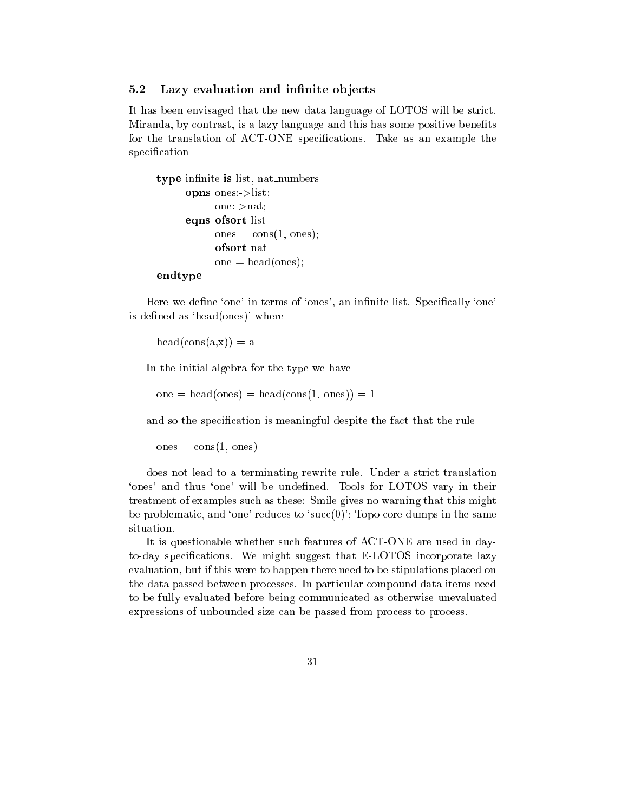#### $5.2$ Lazy evaluation and infinite objects

It has been envisaged that the new data language of LOTOS will be strict. Miranda, by contrast, is a lazy language and this has some positive benets for the translation of ACT-ONE specifications. Take as an example the specification

```
type infinite is list, nat numbers
     opns ones:>list;
           one:->nat;
     eqns ofsort list
           ones = cons(1, ones);ofsort nat
           one = head(ones);endtype
```
Here we define 'one' in terms of 'ones', an infinite list. Specifically 'one' is defined as 'head(ones)' where

 $head(cons(a, x)) = a$ 

In the initial algebra for the type we have

one = head(ones) = head(cons(1, ones)) = 1

and so the specification is meaningful despite the fact that the rule

 $ones = cons(1, ones)$ 

does not lead to a terminating rewrite rule. Under a strict translation `ones' and thus `one' will be undened. Tools for LOTOS vary in their treatment of examples such as these: Smile gives no warning that this might be problematic, and 'one' reduces to 'succ $(0)$ '; Topo core dumps in the same situation.

It is questionable whether such features of ACT-ONE are used in dayto-day specications. We might suggest that E-LOTOS incorporate lazy evaluation, but if this were to happen there need to be stipulations placed on the data passed between processes. In particular compound data items need to be fully evaluated before being communicated as otherwise unevaluated expressions of unbounded size can be passed from process to process.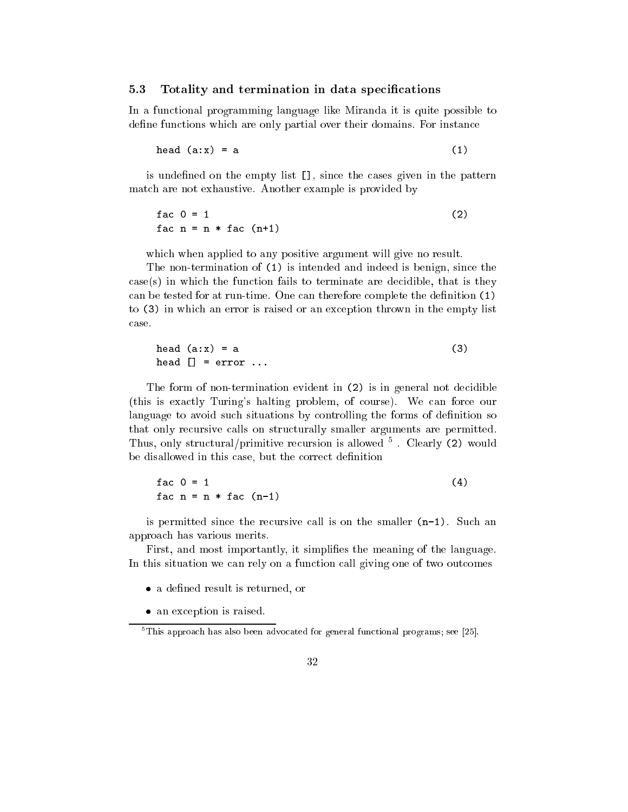#### $5.3$ Totality and termination in data specifications

In a functional programming language like Miranda it is quite possible to define functions which are only partial over their domains. For instance

$$
head (a:x) = a
$$
 (1)

is undefined on the empty list  $\Box$ , since the cases given in the pattern match are not exhaustive. Another example is provided by

$$
fac \space 0 = 1
$$
\n
$$
fac \space n = n * fac \space (n+1)
$$
\n
$$
(2)
$$

which when applied to any positive argument will give no result.

The non-termination of (1) is intended and indeed is benign, since the case(s) in which the function fails to terminate are decidible, that is they can be tested for at run-time. One can therefore complete the definition  $(1)$ to (3) in which an error is raised or an exception thrown in the empty list case.

head 
$$
(a:x) = a
$$
 (3)  
head [] = error ...

The form of non-termination evident in (2) is in general not decidible (this is exactly Turing's halting problem, of course). We can force our language to avoid such situations by controlling the forms of definition so that only recursive calls on structurally smaller arguments are permitted. Thus, only structural/primitive recursion is allowed <sup>5</sup> . Clearly (2) would be disallowed in this case, but the correct definition

$$
fac \space 0 = 1
$$
\n
$$
fac \space n = n * fac \space (n-1)
$$
\n
$$
(4)
$$

is permitted since the recursive call is on the smaller (n-1). Such an approach has various merits.

First, and most importantly, it simplifies the meaning of the language. In this situation we can rely on a function call giving one of two outcomes

- a defined result is returned, or
- an exception is raised.

<sup>5</sup> This approach has also been advocated for general functional programs; see [25].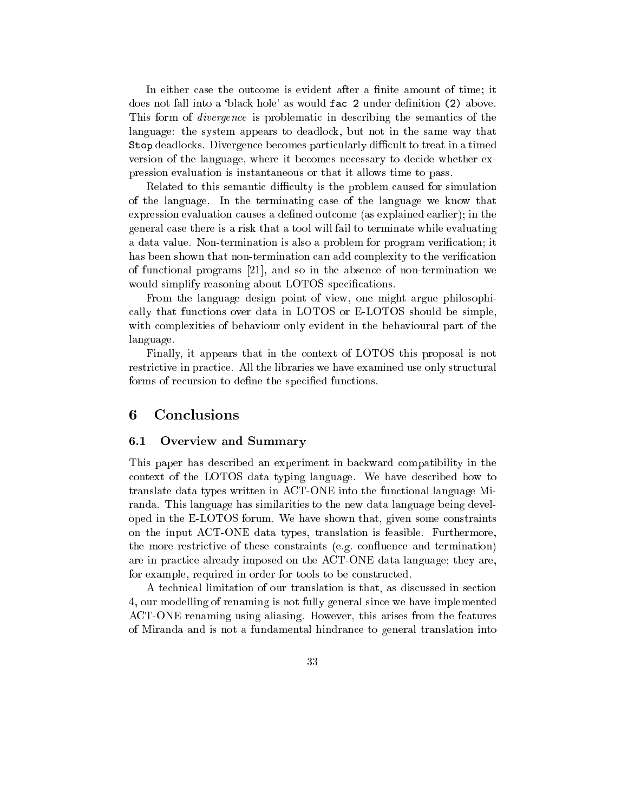In either case the outcome is evident after a finite amount of time; it does not fall into a 'black hole' as would fac 2 under definition (2) above. This form of divergence is problematic in describing the semantics of the language: the system appears to deadlock, but not in the same way that Stop deadlocks. Divergence becomes particularly difficult to treat in a timed version of the language, where it becomes necessary to decide whether expression evaluation is instantaneous or that it allows time to pass.

Related to this semantic difficulty is the problem caused for simulation of the language. In the terminating case of the language we know that expression evaluation causes a dened outcome (as explained earlier); in the general case there is a risk that a tool will fail to terminate while evaluating a data value. Non-termination is also a problem for program verication; it has been shown that non-termination can add complexity to the verification of functional programs [21], and so in the absence of non-termination we would simplify reasoning about LOTOS specifications.

From the language design point of view, one might argue philosophically that functions over data in LOTOS or E-LOTOS should be simple, with complexities of behaviour only evident in the behavioural part of the language.

Finally, it appears that in the context of LOTOS this proposal is not restrictive in practice. All the libraries we have examined use only structural forms of recursion to define the specified functions.

# 6 Conclusions

#### Overview and Summary  $6.1$

This paper has described an experiment in backward compatibility in the context of the LOTOS data typing language. We have described how to translate data types written in ACT-ONE into the functional language Miranda. This language has similarities to the new data language being developed in the E-LOTOS forum. We have shown that, given some constraints on the input ACT-ONE data types, translation is feasible. Furthermore, the more restrictive of these constraints (e.g. confluence and termination) are in practice already imposed on the ACT-ONE data language; they are, for example, required in order for tools to be constructed.

A technical limitation of our translation is that, as discussed in section 4, our modelling of renaming is not fully general since we have implemented ACT-ONE renaming using aliasing. However, this arises from the features of Miranda and is not a fundamental hindrance to general translation into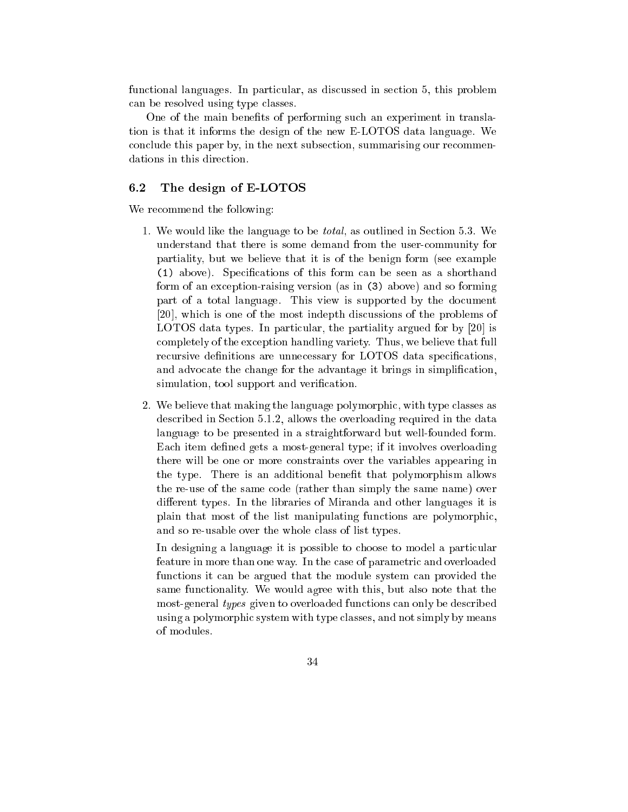functional languages. In particular, as discussed in section 5, this problem can be resolved using type classes.

One of the main benefits of performing such an experiment in translation is that it informs the design of the new E-LOTOS data language. We conclude this paper by, in the next subsection, summarising our recommendations in this direction.

#### $6.2$ The design of E-LOTOS

We recommend the following:

- 1. We would like the language to be total, as outlined in Section 5.3. We understand that there is some demand from the user-community for partiality, but we believe that it is of the benign form (see example (1) above). Specications of this form can be seen as a shorthand form of an exception-raising version (as in (3) above) and so forming part of a total language. This view is supported by the document [20], which is one of the most indepth discussions of the problems of LOTOS data types. In particular, the partiality argued for by [20] is completely of the exception handling variety. Thus, we believe that full recursive definitions are unnecessary for LOTOS data specifications, and advocate the change for the advantage it brings in simplication, simulation, tool support and verification.
- 2. We believe that making the language polymorphic, with type classes as described in Section 5.1.2, allows the overloading required in the data language to be presented in a straightforward but well-founded form. Each item defined gets a most-general type; if it involves overloading there will be one or more constraints over the variables appearing in the type. There is an additional benet that polymorphism allows the re-use of the same code (rather than simply the same name) over different types. In the libraries of Miranda and other languages it is plain that most of the list manipulating functions are polymorphic, and so re-usable over the whole class of list types.

In designing a language it is possible to choose to model a particular feature in more than one way. In the case of parametric and overloaded functions it can be argued that the module system can provided the same functionality. We would agree with this, but also note that the most-general types given to overloaded functions can only be described using a polymorphic system with type classes, and not simply by means of modules.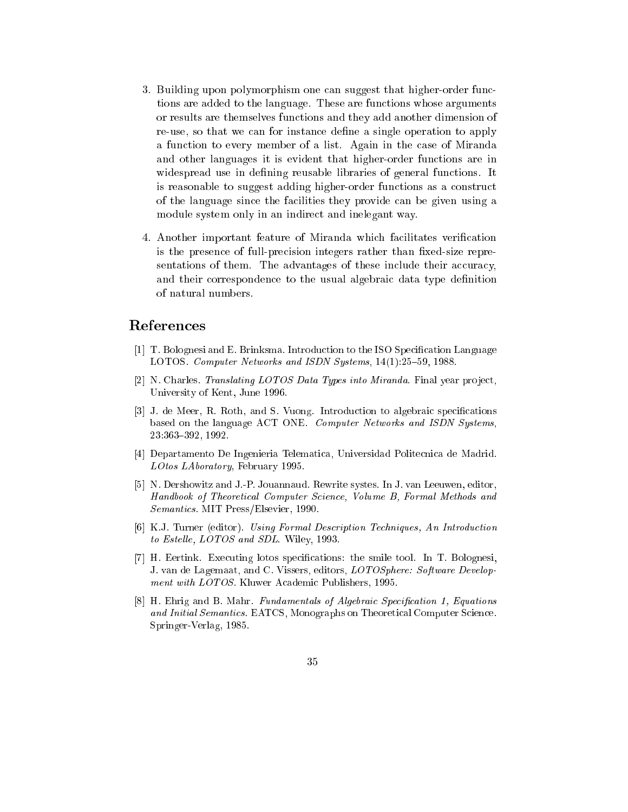- 3. Building upon polymorphism one can suggest that higher-order functions are added to the language. These are functions whose arguments or results are themselves functions and they add another dimension of re-use, so that we can for instance define a single operation to apply a function to every member of a list. Again in the case of Miranda and other languages it is evident that higher-order functions are in widespread use in defining reusable libraries of general functions. It is reasonable to suggest adding higher-order functions as a construct of the language since the facilities they provide can be given using a module system only in an indirect and inelegant way.
- 4. Another important feature of Miranda which facilitates verication is the presence of full-precision integers rather than fixed-size representations of them. The advantages of these include their accuracy, and their correspondence to the usual algebraic data type definition of natural numbers.

# References

- [1] T. Bolognesi and E. Brinksma. Introduction to the ISO Specication Language LOTOS. Computer Networks and ISDN Systems,  $14(1):25{-}59$ , 1988.
- [2] N. Charles. Translating  $LOTOS Data Types$  into Miranda. Final year project, University of Kent, June 1996.
- [3] J. de Meer, R. Roth, and S. Vuong. Introduction to algebraic specifications based on the language ACT ONE. Computer Networks and ISDN Systems, 23:363{392, 1992.
- [4] Departamento De Ingenieria Telematica, Universidad Politecnica de Madrid. LOtos LAboratory, February 1995.
- [5] N. Dershowitz and J.-P. Jouannaud. Rewrite systes. In J. van Leeuwen, editor, Handbook of Theoretical Computer Science, Volume B, Formal Methods and Semantics. MIT Press/Elsevier, 1990.
- [6] K.J. Turner (editor). Using Formal Description Techniques, An Introduction to Estelle, LOTOS and SDL. Wiley, 1993.
- [7] H. Eertink. Executing lotos specications: the smile tool. In T. Bolognesi, J. van de Lagemaat, and C. Vissers, editors, LOTOSphere: Software Development with LOTOS. Kluwer Academic Publishers, 1995.
- [8] H. Ehrig and B. Mahr. Fundamentals of Algebraic Specification 1, Equations and Initial Semantics. EATCS, Monographs on Theoretical Computer Science. Springer-Verlag, 1985.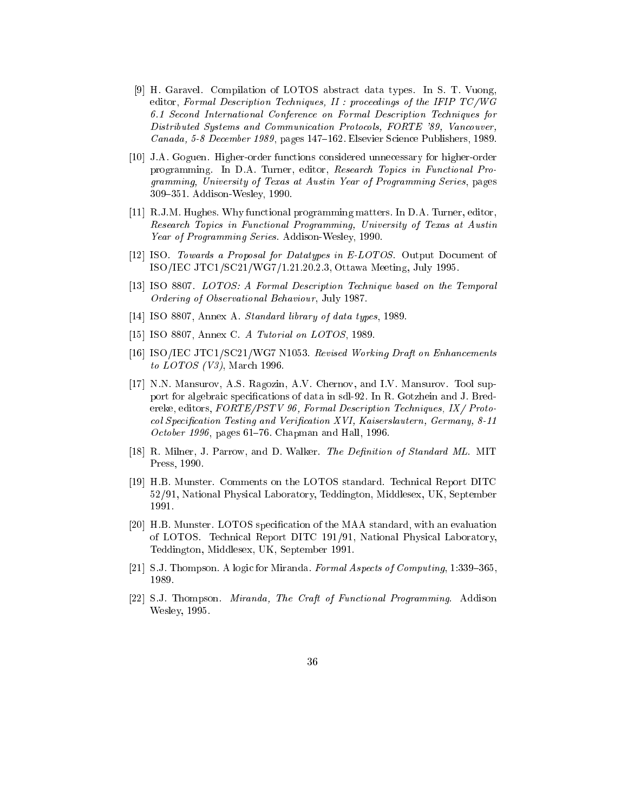- [9] H. Garavel. Compilation of LOTOS abstract data types. In S. T. Vuong, editor, Formal Description Techniques, II : proceedings of the IFIP TC/WG 6.1 Second International Conference on Formal Description Techniques for Distributed Systems and Communication Protocols, FORTE '89, Vancouver, Canada, 5-8 December 1989, pages 147-162. Elsevier Science Publishers, 1989.
- [10] J.A. Goguen. Higher-order functions considered unnecessary for higher-order programming. In D.A. Turner, editor, Research Topics in Functional Programming, University of Texas at Austin Year of Programming Series, pages 309–351. Addison-Wesley, 1990.
- [11] R.J.M. Hughes. Why functional programming matters. In D.A. Turner, editor, Research Topics in Functional Programming, University of Texas at Austin Year of Programming Series. Addison-Wesley, 1990.
- [12] ISO. Towards a Proposal for Datatypes in E-LOTOS. Output Document of ISO/IEC JTC1/SC21/WG7/1.21.20.2.3, Ottawa Meeting, July 1995.
- [13] ISO 8807. LOTOS: A Formal Description Technique based on the Temporal Ordering of Observational Behaviour, July 1987.
- [14] ISO 8807, Annex A. Standard library of data types, 1989.
- [15] ISO 8807, Annex C. A Tutorial on LOTOS, 1989.
- [16] ISO/IEC JTC1/SC21/WG7 N1053. Revised Working Draft on Enhancements to *LOTOS* (V3), March 1996.
- [17] N.N. Mansurov, A.S. Ragozin, A.V. Chernov, and I.V. Mansurov. Tool support for algebraic specications of data in sdl-92. In R. Gotzhein and J. Bredereke, editors, FORTE/PSTV 96, Formal Description Techniques, IX/ Protocol Specification Testing and Verification XVI, Kaiserslautern, Germany, 8-11 October 1996, pages  $61-76$ . Chapman and Hall, 1996.
- [18] R. Milner, J. Parrow, and D. Walker. *The Definition of Standard ML*. MIT Press, 1990.
- [19] H.B. Munster. Comments on the LOTOS standard. Technical Report DITC 52/91, National Physical Laboratory, Teddington, Middlesex, UK, September 1991.
- [20] H.B. Munster. LOTOS specication of the MAA standard, with an evaluation of LOTOS. Technical Report DITC 191/91, National Physical Laboratory, Teddington, Middlesex, UK, September 1991.
- [21] S.J. Thompson. A logic for Miranda. Formal Aspects of Computing,  $1:339-365$ , 1989.
- [22] S.J. Thompson. Miranda, The Craft of Functional Programming. Addison Wesley, 1995.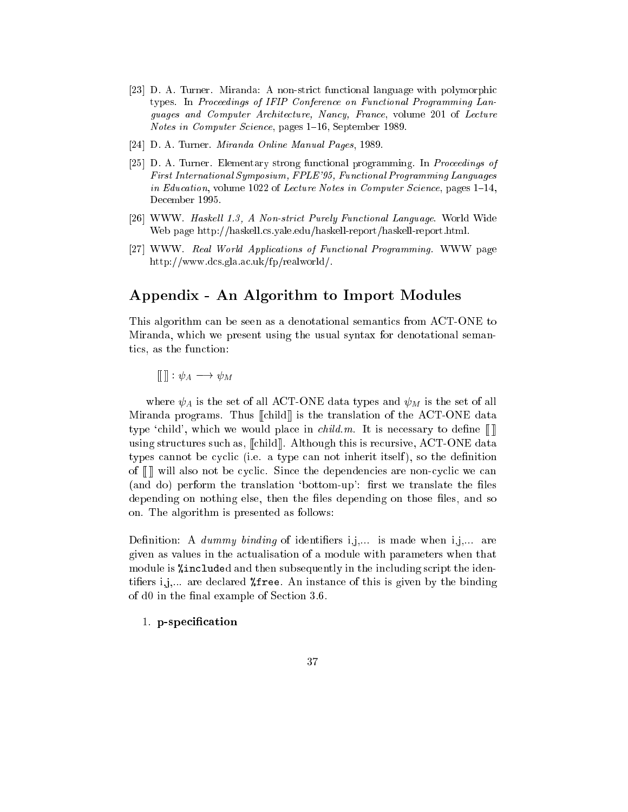- [23] D. A. Turner. Miranda: A non-strict functional language with polymorphic types. In Proceedings of IFIP Conference on Functional Programming Languages and Computer Architecture, Nancy, France, volume 201 of Lecture Notes in Computer Science, pages 1–16, September 1989.
- [24] D. A. Turner. Miranda Online Manual Pages, 1989.
- [25] D. A. Turner. Elementary strong functional programming. In Proceedings of First International Symposium, FPLE'95, Functional Programming Languages in Education, volume 1022 of Lecture Notes in Computer Science, pages  $1–14$ , December 1995.
- [26] WWW. Haskell 1.3, A Non-strict Purely Functional Language. World Wide Web page http://haskell.cs.yale.edu/haskell-report/haskell-report.html.
- [27] WWW. Real World Applications of Functional Programming. WWW page http://www.dcs.gla.ac.uk/fp/realworld/.

# Appendix - An Algorithm to Import Modules

This algorithm can be seen as a denotational semantics from ACT-ONE to Miranda, which we present using the usual syntax for denotational semantics, as the function:

 $[\![\ ]\!]:\psi_A\longrightarrow \psi_M$ 

where  $\psi_A$  is the set of all ACT-ONE data types and  $\psi_M$  is the set of all Miranda programs. Thus [[child]] is the translation of the ACT-ONE data type 'child', which we would place in *child.m.* It is necessary to define  $\llbracket \cdot \rrbracket$ using structures such as, [[child]]. Although this is recursive, ACT-ONE data types cannot be cyclic (i.e. a type can not inherit itself), so the definition of [[ ]] will also not be cyclic. Since the dependencies are non-cyclic we can (and do) perform the translation 'bottom-up': first we translate the files depending on nothing else, then the files depending on those files, and so on. The algorithm is presented as follows:

Definition: A dummy binding of identifiers  $i,j,...$  is made when  $i,j,...$  are given as values in the actualisation of a module with parameters when that module is %included and then subsequently in the including script the identifiers i,j.... are declared  $\lambda$  free. An instance of this is given by the binding of d0 in the final example of Section 3.6.

1. p-specification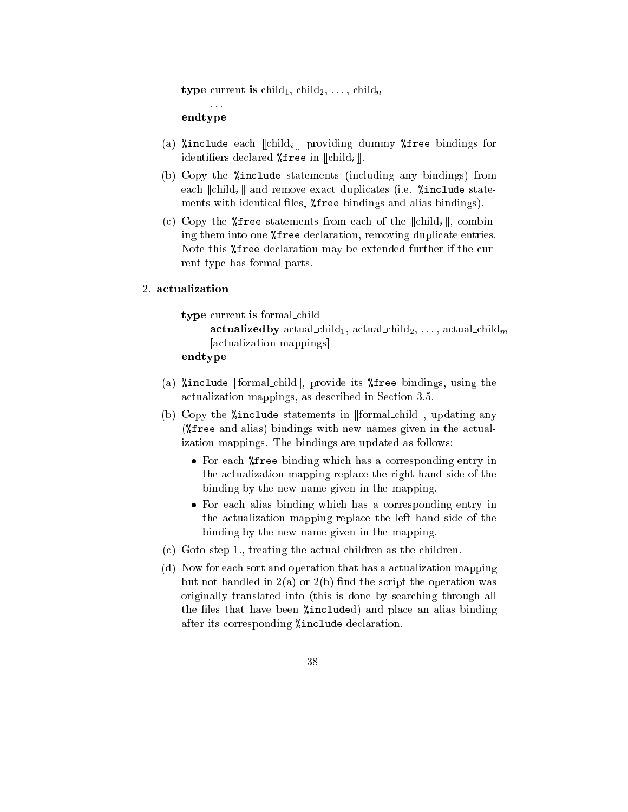type current is child<sub>1</sub>, child<sub>2</sub>, ..., child<sub>n</sub>

endtype

- (a) *l* include each  $\llbracket \text{child}_i \rrbracket$  providing dummy *l* free bindings for identifiers declared  $\lambda$ free in [[child<sub>i</sub>]].
- (b) Copy the %include statements (including any bindings) from each  $\lVert \text{child}_i \rVert$  and remove exact duplicates (i.e.  $\text{%include state}$ ments with identical files,  $%$  free bindings and alias bindings).
- (c) Copy the *"* free statements from each of the  $\llbracket \text{child}_i \rrbracket$ , combining them into one %free declaration, removing duplicate entries. Note this %free declaration may be extended further if the current type has formal parts.

### 2. actualization

type current is formal child

```
actualized by actual child<sub>1</sub>, actual child<sub>2</sub>, ..., actual child<sub>m</sub>
[actualization mappings]
```

```
endtype
```
- (a) %include [[formal child]], provide its %free bindings, using the actualization mappings, as described in Section 3.5.
- (b) Copy the %include statements in [[formal child]], updating any (%free and alias) bindings with new names given in the actualization mappings. The bindings are updated as follows:
	- For each %free binding which has a corresponding entry in the actualization mapping replace the right hand side of the binding by the new name given in the mapping.
	- For each alias binding which has a corresponding entry in the actualization mapping replace the left hand side of the binding by the new name given in the mapping.
- (c) Goto step 1., treating the actual children as the children.
- (d) Now for each sort and operation that has a actualization mapping but not handled in  $2(a)$  or  $2(b)$  find the script the operation was originally translated into (this is done by searching through all the files that have been  $%$ included) and place an alias binding after its corresponding %include declaration.